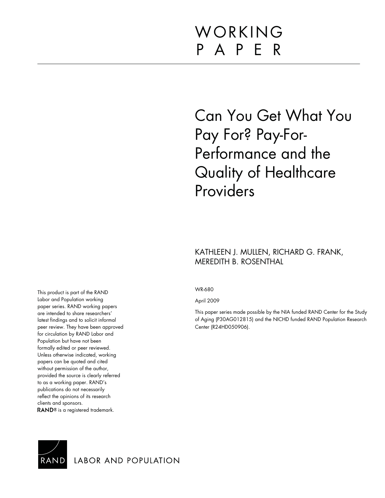# WORKING P A P E R

# Can You Get What You Pay For? Pay-For-Performance and the Quality of Healthcare Providers

## KATHLEEN J. MULLEN, RICHARD G. FRANK, MEREDITH B. ROSENTHAL

WR-680

April 2009

This paper series made possible by the NIA funded RAND Center for the Study of Aging (P30AG012815) and the NICHD funded RAND Population Research Center (R24HD050906).

This product is part of the RAND Labor and Population working paper series. RAND working papers are intended to share researchers' latest findings and to solicit informal peer review. They have been approved for circulation by RAND Labor and Population but have not been formally edited or peer reviewed. Unless otherwise indicated, working papers can be quoted and cited without permission of the author, provided the source is clearly referred to as a working paper. RAND's publications do not necessarily reflect the opinions of its research clients and sponsors. RAND<sup>®</sup> is a registered trademark.



LABOR AND POPULATION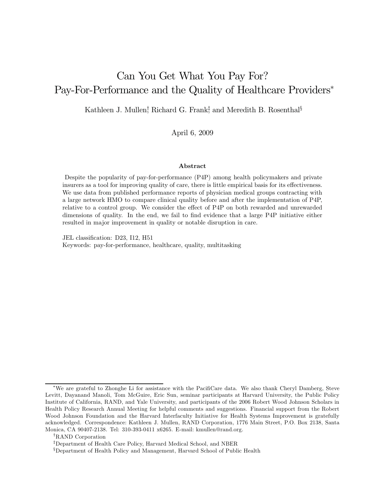## Can You Get What You Pay For? Pay-For-Performance and the Quality of Healthcare Providers<sup>\*</sup>

Kathleen J. Mullen<sup>†</sup>, Richard G. Frank<sup>‡</sup> and Meredith B. Rosenthal<sup>§</sup>

April 6, 2009

#### Abstract

Despite the popularity of pay-for-performance (P4P) among health policymakers and private insurers as a tool for improving quality of care, there is little empirical basis for its effectiveness. We use data from published performance reports of physician medical groups contracting with a large network HMO to compare clinical quality before and after the implementation of P4P, relative to a control group. We consider the effect of P4P on both rewarded and unrewarded dimensions of quality. In the end, we fail to find evidence that a large P4P initiative either resulted in major improvement in quality or notable disruption in care.

JEL classification: D23, I12, H51 Keywords: pay-for-performance, healthcare, quality, multitasking

<sup>\*</sup>We are grateful to Zhonghe Li for assistance with the PacifiCare data. We also thank Cheryl Damberg, Steve Levitt, Dayanand Manoli, Tom McGuire, Eric Sun, seminar participants at Harvard University, the Public Policy Institute of California, RAND, and Yale University, and participants of the 2006 Robert Wood Johnson Scholars in Health Policy Research Annual Meeting for helpful comments and suggestions. Financial support from the Robert Wood Johnson Foundation and the Harvard Interfaculty Initiative for Health Systems Improvement is gratefully acknowledged. Correspondence: Kathleen J. Mullen, RAND Corporation, 1776 Main Street, P.O. Box 2138, Santa Monica, CA 90407-2138. Tel: 310-393-0411 x6265. E-mail: [kmullen@rand.org.](mailto:kmullen@rand.org)

<sup>†</sup>RAND Corporation

<sup>‡</sup>Department of Health Care Policy, Harvard Medical School, and NBER

<sup>§</sup>Department of Health Policy and Management, Harvard School of Public Health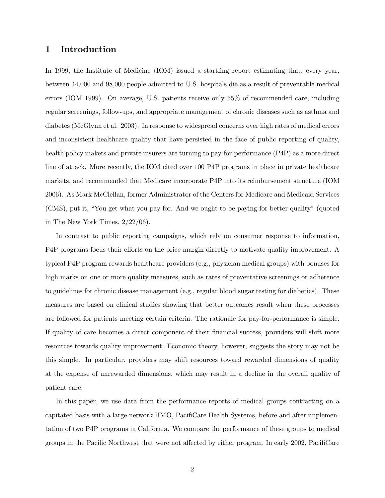### 1 Introduction

In 1999, the Institute of Medicine (IOM) issued a startling report estimating that, every year, between 44,000 and 98,000 people admitted to U.S. hospitals die as a result of preventable medical errors (IOM 1999). On average, U.S. patients receive only 55% of recommended care, including regular screenings, follow-ups, and appropriate management of chronic diseases such as asthma and diabetes (McGlynn et al. 2003). In response to widespread concerns over high rates of medical errors and inconsistent healthcare quality that have persisted in the face of public reporting of quality, health policy makers and private insurers are turning to pay-for-performance (P4P) as a more direct line of attack. More recently, the IOM cited over 100 P4P programs in place in private healthcare markets, and recommended that Medicare incorporate P4P into its reimbursement structure (IOM 2006). As Mark McClellan, former Administrator of the Centers for Medicare and Medicaid Services (CMS), put it, "You get what you pay for. And we ought to be paying for better quality" (quoted in The New York Times, 2/22/06).

In contrast to public reporting campaigns, which rely on consumer response to information, P4P programs focus their efforts on the price margin directly to motivate quality improvement. A typical P4P program rewards healthcare providers (e.g., physician medical groups) with bonuses for high marks on one or more quality measures, such as rates of preventative screenings or adherence to guidelines for chronic disease management (e.g., regular blood sugar testing for diabetics). These measures are based on clinical studies showing that better outcomes result when these processes are followed for patients meeting certain criteria. The rationale for pay-for-performance is simple. If quality of care becomes a direct component of their financial success, providers will shift more resources towards quality improvement. Economic theory, however, suggests the story may not be this simple. In particular, providers may shift resources toward rewarded dimensions of quality at the expense of unrewarded dimensions, which may result in a decline in the overall quality of patient care.

In this paper, we use data from the performance reports of medical groups contracting on a capitated basis with a large network HMO, PacifiCare Health Systems, before and after implementation of two P4P programs in California. We compare the performance of these groups to medical groups in the Pacific Northwest that were not affected by either program. In early 2002, PacifiCare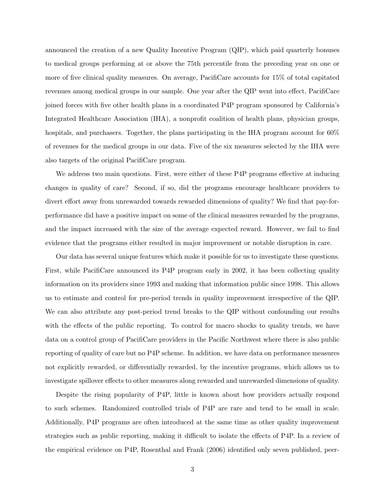announced the creation of a new Quality Incentive Program (QIP), which paid quarterly bonuses to medical groups performing at or above the 75th percentile from the preceding year on one or more of five clinical quality measures. On average, PacifiCare accounts for 15% of total capitated revenues among medical groups in our sample. One year after the QIP went into effect, PacifiCare joined forces with five other health plans in a coordinated P4P program sponsored by California's Integrated Healthcare Association (IHA), a nonprofit coalition of health plans, physician groups, hospitals, and purchasers. Together, the plans participating in the IHA program account for  $60\%$ of revenues for the medical groups in our data. Five of the six measures selected by the IHA were also targets of the original PacifiCare program.

We address two main questions. First, were either of these P4P programs effective at inducing changes in quality of care? Second, if so, did the programs encourage healthcare providers to divert effort away from unrewarded towards rewarded dimensions of quality? We find that pay-forperformance did have a positive impact on some of the clinical measures rewarded by the programs, and the impact increased with the size of the average expected reward. However, we fail to find evidence that the programs either resulted in major improvement or notable disruption in care.

Our data has several unique features which make it possible for us to investigate these questions. First, while PacifiCare announced its P4P program early in 2002, it has been collecting quality information on its providers since 1993 and making that information public since 1998. This allows us to estimate and control for pre-period trends in quality improvement irrespective of the QIP. We can also attribute any post-period trend breaks to the QIP without confounding our results with the effects of the public reporting. To control for macro shocks to quality trends, we have data on a control group of PacifiCare providers in the Pacific Northwest where there is also public reporting of quality of care but no P4P scheme. In addition, we have data on performance measures not explicitly rewarded, or differentially rewarded, by the incentive programs, which allows us to investigate spillover effects to other measures along rewarded and unrewarded dimensions of quality.

Despite the rising popularity of P4P, little is known about how providers actually respond to such schemes. Randomized controlled trials of P4P are rare and tend to be small in scale. Additionally, P4P programs are often introduced at the same time as other quality improvement strategies such as public reporting, making it difficult to isolate the effects of P4P. In a review of the empirical evidence on P4P, Rosenthal and Frank (2006) identified only seven published, peer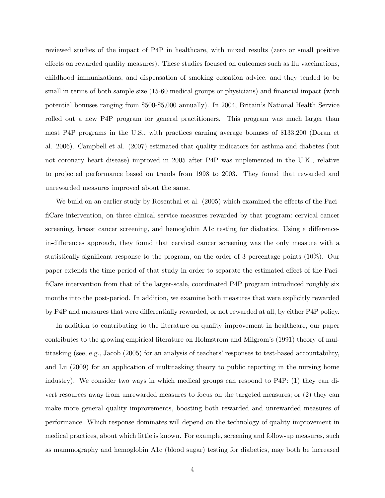reviewed studies of the impact of P4P in healthcare, with mixed results (zero or small positive effects on rewarded quality measures). These studies focused on outcomes such as flu vaccinations, childhood immunizations, and dispensation of smoking cessation advice, and they tended to be small in terms of both sample size (15-60 medical groups or physicians) and financial impact (with potential bonuses ranging from \$500-\$5,000 annually). In 2004, Britain's National Health Service rolled out a new P4P program for general practitioners. This program was much larger than most P4P programs in the U.S., with practices earning average bonuses of \$133,200 (Doran et al. 2006). Campbell et al. (2007) estimated that quality indicators for asthma and diabetes (but not coronary heart disease) improved in 2005 after P4P was implemented in the U.K., relative to projected performance based on trends from 1998 to 2003. They found that rewarded and unrewarded measures improved about the same.

We build on an earlier study by Rosenthal et al. (2005) which examined the effects of the Pacificare intervention, on three clinical service measures rewarded by that program: cervical cancer screening, breast cancer screening, and hemoglobin A1c testing for diabetics. Using a differencein-differences approach, they found that cervical cancer screening was the only measure with a statistically significant response to the program, on the order of 3 percentage points  $(10\%)$ . Our paper extends the time period of that study in order to separate the estimated effect of the Pacificare intervention from that of the larger-scale, coordinated P4P program introduced roughly six months into the post-period. In addition, we examine both measures that were explicitly rewarded by P4P and measures that were differentially rewarded, or not rewarded at all, by either P4P policy.

In addition to contributing to the literature on quality improvement in healthcare, our paper contributes to the growing empirical literature on Holmstrom and Milgrom's (1991) theory of multitasking (see, e.g., Jacob (2005) for an analysis of teachers' responses to test-based accountability, and Lu (2009) for an application of multitasking theory to public reporting in the nursing home industry). We consider two ways in which medical groups can respond to P4P: (1) they can divert resources away from unrewarded measures to focus on the targeted measures; or (2) they can make more general quality improvements, boosting both rewarded and unrewarded measures of performance. Which response dominates will depend on the technology of quality improvement in medical practices, about which little is known. For example, screening and follow-up measures, such as mammography and hemoglobin A1c (blood sugar) testing for diabetics, may both be increased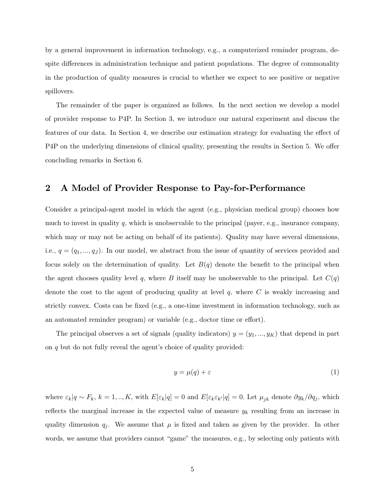by a general improvement in information technology, e.g., a computerized reminder program, despite differences in administration technique and patient populations. The degree of commonality in the production of quality measures is crucial to whether we expect to see positive or negative spillovers.

The remainder of the paper is organized as follows. In the next section we develop a model of provider response to P4P. In Section 3, we introduce our natural experiment and discuss the features of our data. In Section 4, we describe our estimation strategy for evaluating the effect of P4P on the underlying dimensions of clinical quality, presenting the results in Section 5. We offer concluding remarks in Section 6.

### 2 A Model of Provider Response to Pay-for-Performance

Consider a principal-agent model in which the agent (e.g., physician medical group) chooses how much to invest in quality  $q$ , which is unobservable to the principal (payer, e.g., insurance company, which may or may not be acting on behalf of its patients). Quality may have several dimensions, i.e.,  $q = (q_1, ..., q_J)$ . In our model, we abstract from the issue of quantity of services provided and focus solely on the determination of quality. Let  $B(q)$  denote the benefit to the principal when the agent chooses quality level q, where B itself may be unobservable to the principal. Let  $C(q)$ denote the cost to the agent of producing quality at level  $q$ , where  $C$  is weakly increasing and strictly convex. Costs can be fixed (e.g., a one-time investment in information technology, such as an automated reminder program) or variable (e.g., doctor time or effort).

The principal observes a set of signals (quality indicators)  $y = (y_1, ..., y_K)$  that depend in part on  $q$  but do not fully reveal the agent's choice of quality provided:

$$
y = \mu(q) + \varepsilon \tag{1}
$$

where  $\varepsilon_k|q \sim F_k$ ,  $k = 1, ..., K$ , with  $E[\varepsilon_k|q] = 0$  and  $E[\varepsilon_k \varepsilon_{k'}|q] = 0$ . Let  $\mu_{ik}$  denote  $\partial y_k/\partial q_i$ , which reflects the marginal increase in the expected value of measure  $y_k$  resulting from an increase in quality dimension  $q_i$ . We assume that  $\mu$  is fixed and taken as given by the provider. In other words, we assume that providers cannot "game" the measures, e.g., by selecting only patients with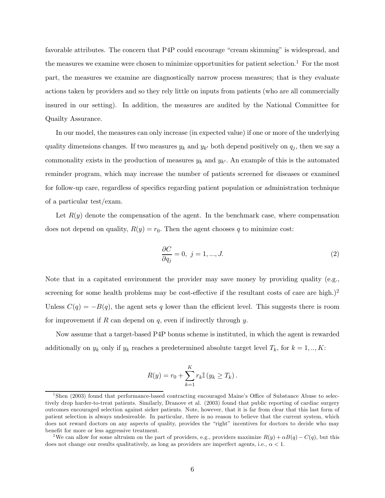favorable attributes. The concern that P4P could encourage "cream skimming" is widespread, and the measures we examine were chosen to minimize opportunities for patient selection.<sup>1</sup> For the most part, the measures we examine are diagnostically narrow process measures; that is they evaluate actions taken by providers and so they rely little on inputs from patients (who are all commercially insured in our setting). In addition, the measures are audited by the National Committee for Quailty Assurance.

In our model, the measures can only increase (in expected value) if one or more of the underlying quality dimensions changes. If two measures  $y_k$  and  $y_{k'}$  both depend positively on  $q_i$ , then we say a commonality exists in the production of measures  $y_k$  and  $y_{k'}$ . An example of this is the automated reminder program, which may increase the number of patients screened for diseases or examined for follow-up care, regardless of specifics regarding patient population or administration technique of a particular test/exam.

Let  $R(y)$  denote the compensation of the agent. In the benchmark case, where compensation does not depend on quality,  $R(y) = r_0$ . Then the agent chooses q to minimize cost:

$$
\frac{\partial C}{\partial q_j} = 0, \ j = 1, ..., J. \tag{2}
$$

Note that in a capitated environment the provider may save money by providing quality (e.g., screening for some health problems may be cost-effective if the resultant costs of care are high.)<sup>2</sup> Unless  $C(q) = -B(q)$ , the agent sets q lower than the efficient level. This suggests there is room for improvement if  $R$  can depend on  $q$ , even if indirectly through  $y$ .

Now assume that a target-based P4P bonus scheme is instituted, in which the agent is rewarded additionally on  $y_k$  only if  $y_k$  reaches a predetermined absolute target level  $T_k$ , for  $k = 1, ..., K$ :

$$
R(y) = r_0 + \sum_{k=1}^{K} r_k \mathbb{I} (y_k \ge T_k).
$$

<sup>&</sup>lt;sup>1</sup>Shen (2003) found that performance-based contracting encouraged Maine's Office of Substance Abuse to selectively drop harder-to-treat patients. Similarly, Dranove et al. (2003) found that public reporting of cardiac surgery outcomes encouraged selection against sicker patients. Note, however, that it is far from clear that this last form of patient selection is always undesireable. In particular, there is no reason to believe that the current system, which does not reward doctors on any aspects of quality, provides the "right" incentives for doctors to decide who may benefit for more or less aggressive treatment.

<sup>&</sup>lt;sup>2</sup>We can allow for some altruism on the part of providers, e.g., providers maximize  $R(y) + \alpha B(q) - C(q)$ , but this does not change our results qualitatively, as long as providers are imperfect agents, i.e.,  $\alpha < 1$ .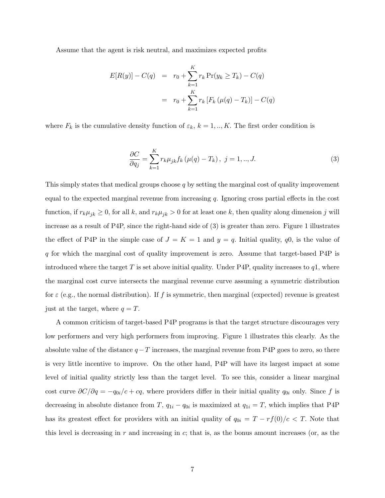Assume that the agent is risk neutral, and maximizes expected profits

$$
E[R(y)] - C(q) = r_0 + \sum_{k=1}^{K} r_k \Pr(y_k \ge T_k) - C(q)
$$
  
=  $r_0 + \sum_{k=1}^{K} r_k [F_k (\mu(q) - T_k)] - C(q)$ 

where  $F_k$  is the cumulative density function of  $\varepsilon_k$ ,  $k = 1, ..., K$ . The first order condition is

$$
\frac{\partial C}{\partial q_j} = \sum_{k=1}^{K} r_k \mu_{jk} f_k (\mu(q) - T_k), \ j = 1, ..., J.
$$
 (3)

This simply states that medical groups choose  $q$  by setting the marginal cost of quality improvement equal to the expected marginal revenue from increasing  $q$ . Ignoring cross partial effects in the cost function, if  $r_k \mu_{jk} \ge 0$ , for all k, and  $r_k \mu_{jk} > 0$  for at least one k, then quality along dimension j will increase as a result of P4P, since the right-hand side of (3) is greater than zero. Figure 1 illustrates the effect of P4P in the simple case of  $J = K = 1$  and  $y = q$ . Initial quality,  $q0$ , is the value of - for which the marginal cost of quality improvement is zero. Assume that target-based P4P is introduced where the target T is set above initial quality. Under P4P, quality increases to  $q_1$ , where the marginal cost curve intersects the marginal revenue curve assuming a symmetric distribution for  $\varepsilon$  (e.g., the normal distribution). If f is symmetric, then marginal (expected) revenue is greatest just at the target, where  $q = T$ .

A common criticism of target-based P4P programs is that the target structure discourages very low performers and very high performers from improving. Figure 1 illustrates this clearly. As the absolute value of the distance  $q - T$  increases, the marginal revenue from P4P goes to zero, so there is very little incentive to improve. On the other hand, P4P will have its largest impact at some level of initial quality strictly less than the target level. To see this, consider a linear marginal cost curve  $\partial C/\partial q = -q_{0i}/c + cq$ , where providers differ in their initial quality  $q_{0i}$  only. Since f is decreasing in absolute distance from T,  $q_{1i} - q_{0i}$  is maximized at  $q_{1i} = T$ , which implies that P4P has its greatest effect for providers with an initial quality of  $q_{0i} = T - rf(0)/c < T$ . Note that this level is decreasing in  $r$  and increasing in  $c$ ; that is, as the bonus amount increases (or, as the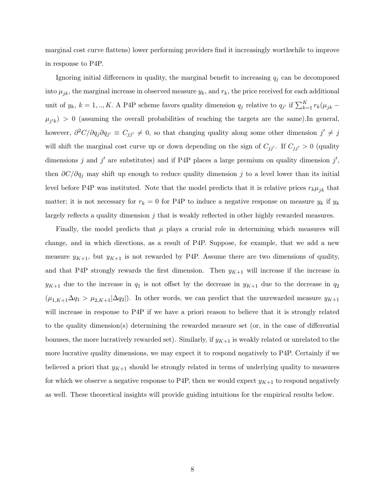marginal cost curve flattens) lower performing providers find it increasingly worthwhile to improve in response to P4P.

Ignoring initial differences in quality, the marginal benefit to increasing  $q_i$  can be decomposed into  $\mu_{jk}$ , the marginal increase in observed measure  $y_k$ , and  $r_k$ , the price received for each additional unit of  $y_k$ ,  $k = 1, ..., K$ . A P4P scheme favors quality dimension  $q_j$  relative to  $q_{j'}$  if  $\sum_{k=1}^{K} r_k(\mu_{jk} \mu_{j'k}$  > 0 (assuming the overall probabilities of reaching the targets are the same). In general, however,  $\partial^2 C/\partial q_i \partial q_{i'} \equiv C_{ii'} \neq 0$ , so that changing quality along some other dimension  $j' \neq j$ will shift the marginal cost curve up or down depending on the sign of  $C_{jj'}$ . If  $C_{jj'} > 0$  (quality dimensions j and j' are substitutes) and if P4P places a large premium on quality dimension j', then  $\partial C/\partial q_i$  may shift up enough to reduce quality dimension j to a level lower than its initial level before P4P was instituted. Note that the model predicts that it is relative prices  $r_k \mu_{jk}$  that matter; it is not necessary for  $r_k = 0$  for P4P to induce a negative response on measure  $y_k$  if  $y_k$ largely reflects a quality dimension  $i$  that is weakly reflected in other highly rewarded measures.

Finally, the model predicts that  $\mu$  plays a crucial role in determining which measures will change, and in which directions, as a result of P4P. Suppose, for example, that we add a new measure  $y_{K+1}$ , but  $y_{K+1}$  is not rewarded by P4P. Assume there are two dimensions of quality, and that P4P strongly rewards the first dimension. Then  $y_{K+1}$  will increase if the increase in  $y_{K+1}$  due to the increase in  $q_1$  is not offset by the decrease in  $y_{K+1}$  due to the decrease in  $q_2$  $(\mu_{1,K+1}\Delta q_1 > \mu_{2,K+1}|\Delta q_2|)$ . In other words, we can predict that the unrewarded measure  $y_{K+1}$ will increase in response to P4P if we have a priori reason to believe that it is strongly related to the quality dimension(s) determining the rewarded measure set (or, in the case of differential bonuses, the more lucratively rewarded set). Similarly, if  $y_{K+1}$  is weakly related or unrelated to the more lucrative quality dimensions, we may expect it to respond negatively to P4P. Certainly if we believed a priori that  $y_{K+1}$  should be strongly related in terms of underlying quality to measures for which we observe a negative response to P4P, then we would expect  $y_{K+1}$  to respond negatively as well. These theoretical insights will provide guiding intuitions for the empirical results below.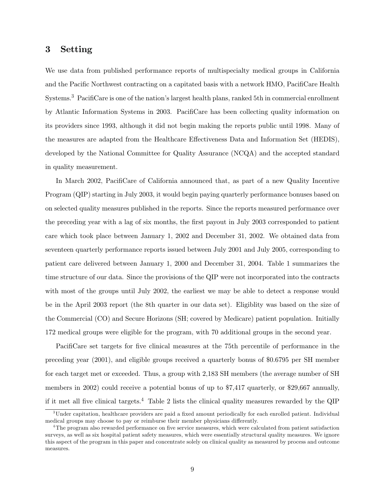#### 3 Setting

We use data from published performance reports of multispecialty medical groups in California and the Pacific Northwest contracting on a capitated basis with a network HMO, PacifiCare Health Systems.<sup>3</sup> PacifiCare is one of the nation's largest health plans, ranked 5th in commercial enrollment by Atlantic Information Systems in 2003. PacifiCare has been collecting quality information on its providers since 1993, although it did not begin making the reports public until 1998. Many of the measures are adapted from the Healthcare Effectiveness Data and Information Set (HEDIS), developed by the National Committee for Quality Assurance (NCQA) and the accepted standard in quality measurement.

In March 2002, PacifiCare of California announced that, as part of a new Quality Incentive Program (QIP) starting in July 2003, it would begin paying quarterly performance bonuses based on on selected quality measures published in the reports. Since the reports measured performance over the preceding year with a lag of six months, the first payout in July 2003 corresponded to patient care which took place between January 1, 2002 and December 31, 2002. We obtained data from seventeen quarterly performance reports issued between July 2001 and July 2005, corresponding to patient care delivered between January 1, 2000 and December 31, 2004. Table 1 summarizes the time structure of our data. Since the provisions of the QIP were not incorporated into the contracts with most of the groups until July 2002, the earliest we may be able to detect a response would be in the April 2003 report (the 8th quarter in our data set). Eligiblity was based on the size of the Commercial (CO) and Secure Horizons (SH; covered by Medicare) patient population. Initially 172 medical groups were eligible for the program, with 70 additional groups in the second year.

Pacificare set targets for five clinical measures at the 75th percentile of performance in the preceding year (2001), and eligible groups received a quarterly bonus of \$0.6795 per SH member for each target met or exceeded. Thus, a group with 2,183 SH members (the average number of SH members in 2002) could receive a potential bonus of up to \$7,417 quarterly, or \$29,667 annually, if it met all five clinical targets.<sup>4</sup> Table 2 lists the clinical quality measures rewarded by the QIP

<sup>&</sup>lt;sup>3</sup>Under capitation, healthcare providers are paid a fixed amount periodically for each enrolled patient. Individual medical groups may choose to pay or reimburse their member physicians differently.

 $4$ The program also rewarded performance on five service measures, which were calculated from patient satisfaction surveys, as well as six hospital patient safety measures, which were essentially structural quality measures. We ignore this aspect of the program in this paper and concentrate solely on clinical quality as measured by process and outcome measures.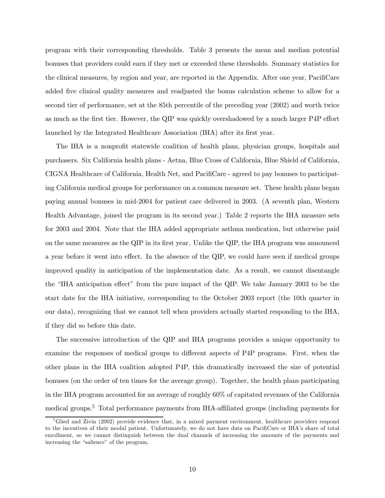program with their corresponding thresholds. Table 3 presents the mean and median potential bonuses that providers could earn if they met or exceeded these thresholds. Summary statistics for the clinical measures, by region and year, are reported in the Appendix. After one year, PacifiCare added five clinical quality measures and readjusted the bonus calculation scheme to allow for a second tier of performance, set at the 85th percentile of the preceding year (2002) and worth twice as much as the first tier. However, the QIP was quickly overshadowed by a much larger P4P effort launched by the Integrated Healthcare Association (IHA) after its first year.

The IHA is a nonprofit statewide coalition of health plans, physician groups, hospitals and purchasers. Six California health plans - Aetna, Blue Cross of California, Blue Shield of California, CIGNA Healthcare of California, Health Net, and PacifiCare - agreed to pay bonuses to participating California medical groups for performance on a common measure set. These health plans began paying annual bonuses in mid-2004 for patient care delivered in 2003. (A seventh plan, Western Health Advantage, joined the program in its second year.) Table 2 reports the IHA measure sets for 2003 and 2004. Note that the IHA added appropriate asthma medication, but otherwise paid on the same measures as the QIP in its first year. Unlike the QIP, the IHA program was announced a year before it went into effect. In the absence of the QIP, we could have seen if medical groups improved quality in anticipation of the implementation date. As a result, we cannot disentangle the "IHA anticipation effect" from the pure impact of the QIP. We take January 2003 to be the start date for the IHA initiative, corresponding to the October 2003 report (the 10th quarter in our data), recognizing that we cannot tell when providers actually started responding to the IHA, if they did so before this date.

The successive introduction of the QIP and IHA programs provides a unique opportunity to examine the responses of medical groups to different aspects of P4P programs. First, when the other plans in the IHA coalition adopted P4P, this dramatically increased the size of potential bonuses (on the order of ten times for the average group). Together, the health plans participating in the IHA program accounted for an average of roughly 60% of capitated revenues of the California medical groups.<sup>5</sup> Total performance payments from IHA-affiliated groups (including payments for

<sup>&</sup>lt;sup>5</sup>Glied and Zivin (2002) provide evidence that, in a mixed payment environment, healthcare providers respond to the incentives of their modal patient. Unfortunately, we do not have data on PacifiCare or IHA's share of total enrollment, so we cannot distinguish between the dual channels of increasing the amounts of the payments and increasing the "salience" of the program.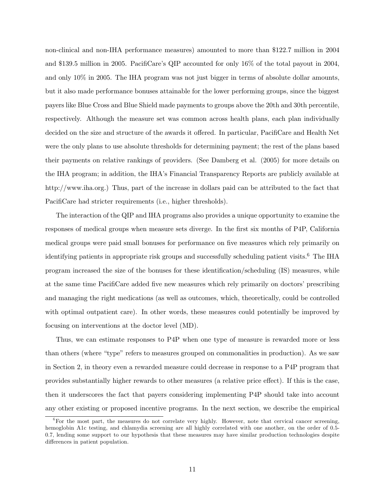non-clinical and non-IHA performance measures) amounted to more than \$122.7 million in 2004 and \$139.5 million in 2005. PacifiCare's QIP accounted for only  $16\%$  of the total payout in 2004, and only 10% in 2005. The IHA program was not just bigger in terms of absolute dollar amounts, but it also made performance bonuses attainable for the lower performing groups, since the biggest payers like Blue Cross and Blue Shield made payments to groups above the 20th and 30th percentile, respectively. Although the measure set was common across health plans, each plan individually decided on the size and structure of the awards it offered. In particular, PacifiCare and Health Net were the only plans to use absolute thresholds for determining payment; the rest of the plans based their payments on relative rankings of providers. (See Damberg et al. (2005) for more details on the IHA program; in addition, the IHA's Financial Transparency Reports are publicly available at [http://www.iha.org.\)](http://www.iha.org) Thus, part of the increase in dollars paid can be attributed to the fact that PacifiCare had stricter requirements (i.e., higher thresholds).

The interaction of the QIP and IHA programs also provides a unique opportunity to examine the responses of medical groups when measure sets diverge. In the first six months of P4P, California medical groups were paid small bonuses for performance on five measures which rely primarily on identifying patients in appropriate risk groups and successfully scheduling patient visits.<sup>6</sup> The IHA program increased the size of the bonuses for these identification/scheduling (IS) measures, while at the same time PacifiCare added five new measures which rely primarily on doctors' prescribing and managing the right medications (as well as outcomes, which, theoretically, could be controlled with optimal outpatient care). In other words, these measures could potentially be improved by focusing on interventions at the doctor level (MD).

Thus, we can estimate responses to P4P when one type of measure is rewarded more or less than others (where "type" refers to measures grouped on commonalities in production). As we saw in Section 2, in theory even a rewarded measure could decrease in response to a P4P program that provides substantially higher rewards to other measures (a relative price effect). If this is the case, then it underscores the fact that payers considering implementing P4P should take into account any other existing or proposed incentive programs. In the next section, we describe the empirical

<sup>&</sup>lt;sup>6</sup>For the most part, the measures do not correlate very highly. However, note that cervical cancer screening, hemoglobin A1c testing, and chlamydia screening are all highly correlated with one another, on the order of 0.5-0.7, lending some support to our hypothesis that these measures may have similar production technologies despite differences in patient population.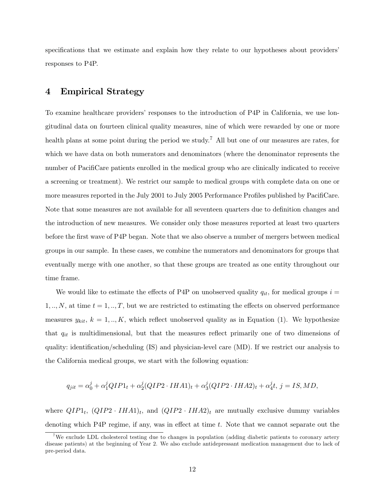specifications that we estimate and explain how they relate to our hypotheses about providers' responses to P4P.

## 4 Empirical Strategy

To examine healthcare providers' responses to the introduction of P4P in California, we use longitudinal data on fourteen clinical quality measures, nine of which were rewarded by one or more health plans at some point during the period we study.<sup>7</sup> All but one of our measures are rates, for which we have data on both numerators and denominators (where the denominator represents the number of Pacificare patients enrolled in the medical group who are clinically indicated to receive a screening or treatment). We restrict our sample to medical groups with complete data on one or more measures reported in the July 2001 to July 2005 Performance Profiles published by PacifiCare. Note that some measures are not available for all seventeen quarters due to definition changes and the introduction of new measures. We consider only those measures reported at least two quarters before the first wave of P4P began. Note that we also observe a number of mergers between medical groups in our sample. In these cases, we combine the numerators and denominators for groups that eventually merge with one another, so that these groups are treated as one entity throughout our time frame.

We would like to estimate the effects of P4P on unobserved quality  $q_{it}$ , for medical groups  $i =$  $1, ..., N$ , at time  $t = 1, ..., T$ , but we are restricted to estimating the effects on observed performance measures  $y_{kit}$ ,  $k = 1, ..., K$ , which reflect unobserved quality as in Equation (1). We hypothesize that  $q_{it}$  is multidimensional, but that the measures reflect primarily one of two dimensions of quality: identification/scheduling  $(IS)$  and physician-level care  $(MD)$ . If we restrict our analysis to the California medical groups, we start with the following equation:

$$
q_{jit} = \alpha_0^j + \alpha_1^j QIP1_t + \alpha_2^j (QIP2 \cdot IHA1)_t + \alpha_3^j (QIP2 \cdot IHA2)_t + \alpha_4^j t, j = IS, MD,
$$

where  $QIP1_t$ ,  $(QIP2 \cdot IHA1)_t$ , and  $(QIP2 \cdot IHA2)_t$  are mutually exclusive dummy variables denoting which P4P regime, if any, was in effect at time  $t$ . Note that we cannot separate out the

<sup>&</sup>lt;sup>7</sup>We exclude LDL cholesterol testing due to changes in population (adding diabetic patients to coronary artery disease patients) at the beginning of Year 2. We also exclude antidepressant medication management due to lack of pre-period data.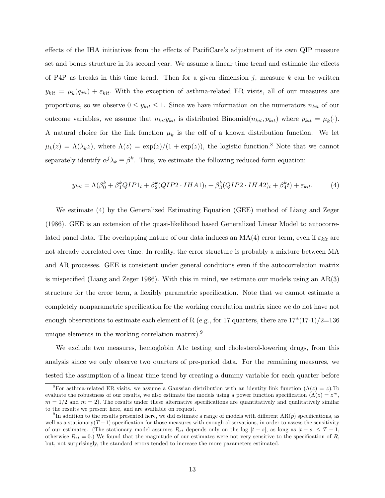effects of the IHA initiatives from the effects of PacifiCare's adjustment of its own QIP measure set and bonus structure in its second year. We assume a linear time trend and estimate the effects of P4P as breaks in this time trend. Then for a given dimension  $j$ , measure  $k$  can be written  $y_{kit} = \mu_k(q_{jit}) + \varepsilon_{kit}$ . With the exception of asthma-related ER visits, all of our measures are proportions, so we observe  $0 \leq y_{kit} \leq 1$ . Since we have information on the numerators  $n_{kit}$  of our outcome variables, we assume that  $n_{kit}y_{kit}$  is distributed Binomial $(n_{kit}, p_{kit})$  where  $p_{kit} = \mu_k(\cdot)$ . A natural choice for the link function  $\mu_k$  is the cdf of a known distribution function. We let  $\mu_k(z) = \Lambda(\lambda_k z)$ , where  $\Lambda(z) = \exp(z)/(1 + \exp(z))$ , the logistic function.<sup>8</sup> Note that we cannot separately identify  $\alpha^j \lambda_k \equiv \beta^k$ . Thus, we estimate the following reduced-form equation:

$$
y_{kit} = \Lambda(\beta_0^k + \beta_1^k QIP1_t + \beta_2^k (QIP2 \cdot IHA1)_t + \beta_3^k (QIP2 \cdot IHA2)_t + \beta_4^k t) + \varepsilon_{kit}.
$$
 (4)

We estimate (4) by the Generalized Estimating Equation (GEE) method of Liang and Zeger (1986). GEE is an extension of the quasi-likelihood based Generalized Linear Model to autocorrelated panel data. The overlapping nature of our data induces an  $MA(4)$  error term, even if  $\varepsilon_{kit}$  are not already correlated over time. In reality, the error structure is probably a mixture between MA and AR processes. GEE is consistent under general conditions even if the autocorrelation matrix is mispecified (Liang and Zeger 1986). With this in mind, we estimate our models using an  $AR(3)$ structure for the error term, a flexibly parametric specification. Note that we cannot estimate a completely nonparametric specification for the working correlation matrix since we do not have not enough observations to estimate each element of R (e.g., for 17 quarters, there are  $17*(17-1)/2=136$ unique elements in the working correlation matrix).<sup>9</sup>

We exclude two measures, hemoglobin A1c testing and cholesterol-lowering drugs, from this analysis since we only observe two quarters of pre-period data. For the remaining measures, we tested the assumption of a linear time trend by creating a dummy variable for each quarter before

<sup>&</sup>lt;sup>8</sup>For asthma-related ER visits, we assume a Gaussian distribution with an identity link function  $(\Lambda(z) = z)$ . To evaluate the robustness of our results, we also estimate the models using a power function specification  $(\Lambda(z) = z<sup>m</sup>$ ,  $m = 1/2$  and  $m = 2$ ). The results under these alternative specifications are quantitatively and qualitatively similar to the results we present here, and are available on request.

<sup>&</sup>lt;sup>9</sup>In addition to the results presented here, we did estimate a range of models with different  $AR(p)$  specifications, as well as a stationary  $(T-1)$  specification for those measures with enough observations, in order to assess the sensitivity of our estimates. (The stationary model assumes  $R_{st}$  depends only on the lag  $|t-s|$ , as long as  $|t-s| \leq T-1$ , otherwise  $R_{st} = 0$ .) We found that the magnitude of our estimates were not very sensitive to the specification of R, but, not surprisingly, the standard errors tended to increase the more parameters estimated.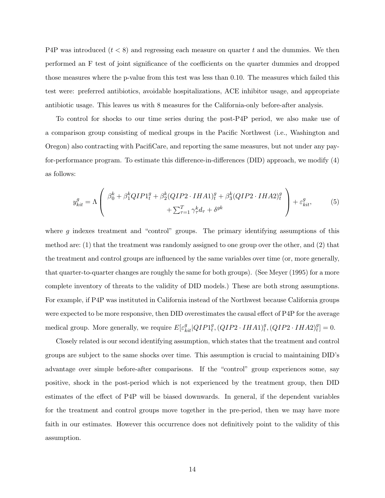P4P was introduced  $(t < 8)$  and regressing each measure on quarter t and the dummies. We then performed an F test of joint significance of the coefficients on the quarter dummies and dropped those measures where the p-value from this test was less than 0.10. The measures which failed this test were: preferred antibiotics, avoidable hospitalizations, ACE inhibitor usage, and appropriate antibiotic usage. This leaves us with 8 measures for the California-only before-after analysis.

To control for shocks to our time series during the post-P4P period, we also make use of a comparison group consisting of medical groups in the Pacific Northwest (i.e., Washington and Oregon) also contracting with PacifiCare, and reporting the same measures, but not under any payfor-performance program. To estimate this difference-in-differences (DID) approach, we modify (4) as follows:

$$
y_{kit}^g = \Lambda \left( \begin{array}{c} \beta_0^k + \beta_1^k QIP1_t^g + \beta_2^k (QIP2 \cdot IHA1)_t^g + \beta_3^k (QIP2 \cdot IHA2)_t^g \\ + \sum_{\tau=1}^T \gamma_\tau^k d_\tau + \delta^{gk} \end{array} \right) + \varepsilon_{kit}^g, \tag{5}
$$

where  $g$  indexes treatment and "control" groups. The primary identifying assumptions of this method are: (1) that the treatment was randomly assigned to one group over the other, and (2) that the treatment and control groups are influenced by the same variables over time (or, more generally, that quarter-to-quarter changes are roughly the same for both groups). (See Meyer (1995) for a more complete inventory of threats to the validity of DID models.) These are both strong assumptions. For example, if P4P was instituted in California instead of the Northwest because California groups were expected to be more responsive, then DID overestimates the causal effect of P4P for the average medical group. More generally, we require  $E[\varepsilon_{kit}^g|QIP1_t^g,(QIP2\cdot IHA1)_t^g,(QIP2\cdot IHA2)_t^g]=0.$ 

Closely related is our second identifying assumption, which states that the treatment and control groups are subject to the same shocks over time. This assumption is crucial to maintaining DID's advantage over simple before-after comparisons. If the "control" group experiences some, say positive, shock in the post-period which is not experienced by the treatment group, then DID estimates of the effect of P4P will be biased downwards. In general, if the dependent variables for the treatment and control groups move together in the pre-period, then we may have more faith in our estimates. However this occurrence does not definitively point to the validity of this assumption.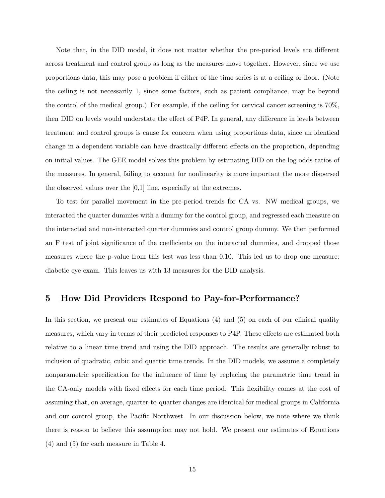Note that, in the DID model, it does not matter whether the pre-period levels are different across treatment and control group as long as the measures move together. However, since we use proportions data, this may pose a problem if either of the time series is at a ceiling or floor. (Note the ceiling is not necessarily 1, since some factors, such as patient compliance, may be beyond the control of the medical group.) For example, if the ceiling for cervical cancer screening is 70%, then DID on levels would understate the effect of P4P. In general, any difference in levels between treatment and control groups is cause for concern when using proportions data, since an identical change in a dependent variable can have drastically different effects on the proportion, depending on initial values. The GEE model solves this problem by estimating DID on the log odds-ratios of the measures. In general, failing to account for nonlinearity is more important the more dispersed the observed values over the [0,1] line, especially at the extremes.

To test for parallel movement in the pre-period trends for CA vs. NW medical groups, we interacted the quarter dummies with a dummy for the control group, and regressed each measure on the interacted and non-interacted quarter dummies and control group dummy. We then performed an F test of joint significance of the coefficients on the interacted dummies, and dropped those measures where the p-value from this test was less than 0.10. This led us to drop one measure: diabetic eye exam. This leaves us with 13 measures for the DID analysis.

## 5 How Did Providers Respond to Pay-for-Performance?

In this section, we present our estimates of Equations (4) and (5) on each of our clinical quality measures, which vary in terms of their predicted responses to P4P. These effects are estimated both relative to a linear time trend and using the DID approach. The results are generally robust to inclusion of quadratic, cubic and quartic time trends. In the DID models, we assume a completely nonparametric specification for the influence of time by replacing the parametric time trend in the CA-only models with fixed effects for each time period. This flexibility comes at the cost of assuming that, on average, quarter-to-quarter changes are identical for medical groups in California and our control group, the Pacific Northwest. In our discussion below, we note where we think there is reason to believe this assumption may not hold. We present our estimates of Equations (4) and (5) for each measure in Table 4.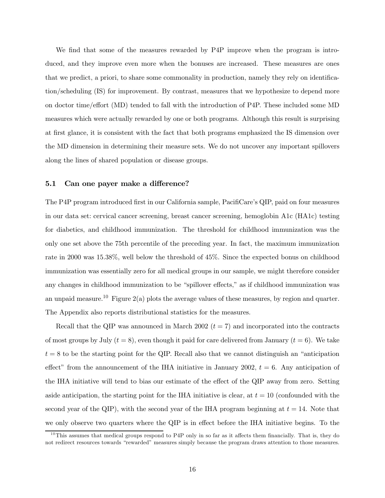We find that some of the measures rewarded by P4P improve when the program is introduced, and they improve even more when the bonuses are increased. These measures are ones that we predict, a priori, to share some commonality in production, namely they rely on identication/scheduling (IS) for improvement. By contrast, measures that we hypothesize to depend more on doctor time/effort (MD) tended to fall with the introduction of P4P. These included some MD measures which were actually rewarded by one or both programs. Although this result is surprising at first glance, it is consistent with the fact that both programs emphasized the IS dimension over the MD dimension in determining their measure sets. We do not uncover any important spillovers along the lines of shared population or disease groups.

#### 5.1 Can one payer make a difference?

The P4P program introduced first in our California sample, PacifiCare's QIP, paid on four measures in our data set: cervical cancer screening, breast cancer screening, hemoglobin A1c (HA1c) testing for diabetics, and childhood immunization. The threshold for childhood immunization was the only one set above the 75th percentile of the preceding year. In fact, the maximum immunization rate in 2000 was 15.38%, well below the threshold of 45%. Since the expected bonus on childhood immunization was essentially zero for all medical groups in our sample, we might therefore consider any changes in childhood immunization to be "spillover effects," as if childhood immunization was an unpaid measure.<sup>10</sup> Figure 2(a) plots the average values of these measures, by region and quarter. The Appendix also reports distributional statistics for the measures.

Recall that the QIP was announced in March 2002  $(t = 7)$  and incorporated into the contracts of most groups by July  $(t = 8)$ , even though it paid for care delivered from January  $(t = 6)$ . We take  $t = 8$  to be the starting point for the QIP. Recall also that we cannot distinguish an "anticipation" effect" from the announcement of the IHA initiative in January 2002,  $t = 6$ . Any anticipation of the IHA initiative will tend to bias our estimate of the effect of the QIP away from zero. Setting aside anticipation, the starting point for the IHA initiative is clear, at  $t = 10$  (confounded with the second year of the QIP), with the second year of the IHA program beginning at  $t = 14$ . Note that we only observe two quarters where the QIP is in effect before the IHA initiative begins. To the

<sup>&</sup>lt;sup>10</sup>This assumes that medical groups respond to P4P only in so far as it affects them financially. That is, they do not redirect resources towards "rewarded" measures simply because the program draws attention to those measures.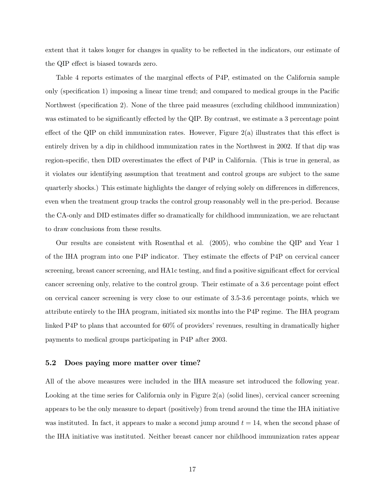extent that it takes longer for changes in quality to be reflected in the indicators, our estimate of the QIP effect is biased towards zero.

Table 4 reports estimates of the marginal effects of P4P, estimated on the California sample only (specification 1) imposing a linear time trend; and compared to medical groups in the Pacific Northwest (specification 2). None of the three paid measures (excluding childhood immunization) was estimated to be significantly effected by the QIP. By contrast, we estimate a 3 percentage point effect of the QIP on child immunization rates. However, Figure  $2(a)$  illustrates that this effect is entirely driven by a dip in childhood immunization rates in the Northwest in 2002. If that dip was region-specific, then DID overestimates the effect of P4P in California. (This is true in general, as it violates our identifying assumption that treatment and control groups are subject to the same quarterly shocks.) This estimate highlights the danger of relying solely on differences in differences, even when the treatment group tracks the control group reasonably well in the pre-period. Because the CA-only and DID estimates differ so dramatically for childhood immunization, we are reluctant to draw conclusions from these results.

Our results are consistent with Rosenthal et al. (2005), who combine the QIP and Year 1 of the IHA program into one P4P indicator. They estimate the effects of P4P on cervical cancer screening, breast cancer screening, and HA1c testing, and find a positive significant effect for cervical cancer screening only, relative to the control group. Their estimate of a 3.6 percentage point effect on cervical cancer screening is very close to our estimate of 3.5-3.6 percentage points, which we attribute entirely to the IHA program, initiated six months into the P4P regime. The IHA program linked P4P to plans that accounted for 60% of providers' revenues, resulting in dramatically higher payments to medical groups participating in P4P after 2003.

#### 5.2 Does paying more matter over time?

All of the above measures were included in the IHA measure set introduced the following year. Looking at the time series for California only in Figure 2(a) (solid lines), cervical cancer screening appears to be the only measure to depart (positively) from trend around the time the IHA initiative was instituted. In fact, it appears to make a second jump around  $t = 14$ , when the second phase of the IHA initiative was instituted. Neither breast cancer nor childhood immunization rates appear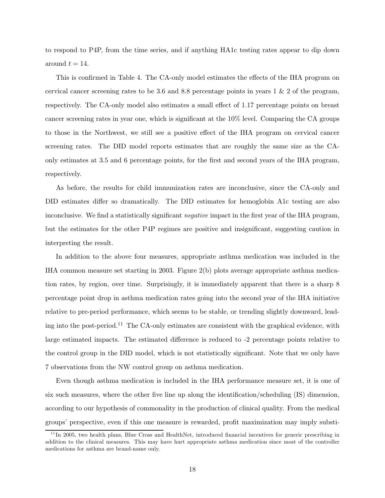to respond to P4P, from the time series, and if anything HA1c testing rates appear to dip down around  $t = 14$ .

This is confirmed in Table 4. The CA-only model estimates the effects of the IHA program on cervical cancer screening rates to be 3.6 and 8.8 percentage points in years 1 & 2 of the program, respectively. The CA-only model also estimates a small effect of 1.17 percentage points on breast cancer screening rates in year one, which is significant at the  $10\%$  level. Comparing the CA groups to those in the Northwest, we still see a positive effect of the IHA program on cervical cancer screening rates. The DID model reports estimates that are roughly the same size as the CAonly estimates at 3.5 and 6 percentage points, for the first and second years of the IHA program, respectively.

As before, the results for child immunization rates are inconclusive, since the CA-only and DID estimates differ so dramatically. The DID estimates for hemoglobin A1c testing are also inconclusive. We find a statistically significant *negative* impact in the first year of the IHA program, but the estimates for the other P4P regimes are positive and insignicant, suggesting caution in interpreting the result.

In addition to the above four measures, appropriate asthma medication was included in the IHA common measure set starting in 2003. Figure 2(b) plots average appropriate asthma medication rates, by region, over time. Surprisingly, it is immediately apparent that there is a sharp 8 percentage point drop in asthma medication rates going into the second year of the IHA initiative relative to pre-period performance, which seems to be stable, or trending slightly downward, leading into the post-period.11 The CA-only estimates are consistent with the graphical evidence, with large estimated impacts. The estimated difference is reduced to -2 percentage points relative to the control group in the DID model, which is not statistically signicant. Note that we only have 7 observations from the NW control group on asthma medication.

Even though asthma medication is included in the IHA performance measure set, it is one of six such measures, where the other five line up along the identification/scheduling  $(IS)$  dimension, according to our hypothesis of commonality in the production of clinical quality. From the medical groups' perspective, even if this one measure is rewarded, profit maximization may imply substi-

 $11$ In 2005, two health plans, Blue Cross and HealthNet, introduced financial incentives for generic prescribing in addition to the clinical measures. This may have hurt appropriate asthma medication since most of the controller medications for asthma are brand-name only.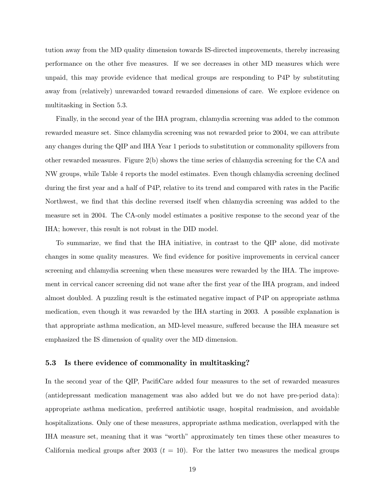tution away from the MD quality dimension towards IS-directed improvements, thereby increasing performance on the other five measures. If we see decreases in other MD measures which were unpaid, this may provide evidence that medical groups are responding to P4P by substituting away from (relatively) unrewarded toward rewarded dimensions of care. We explore evidence on multitasking in Section 5.3.

Finally, in the second year of the IHA program, chlamydia screening was added to the common rewarded measure set. Since chlamydia screening was not rewarded prior to 2004, we can attribute any changes during the QIP and IHA Year 1 periods to substitution or commonality spillovers from other rewarded measures. Figure 2(b) shows the time series of chlamydia screening for the CA and NW groups, while Table 4 reports the model estimates. Even though chlamydia screening declined during the first year and a half of P4P, relative to its trend and compared with rates in the Pacific Northwest, we find that this decline reversed itself when chlamydia screening was added to the measure set in 2004. The CA-only model estimates a positive response to the second year of the IHA; however, this result is not robust in the DID model.

To summarize, we find that the IHA initiative, in contrast to the QIP alone, did motivate changes in some quality measures. We find evidence for positive improvements in cervical cancer screening and chlamydia screening when these measures were rewarded by the IHA. The improvement in cervical cancer screening did not wane after the first year of the IHA program, and indeed almost doubled. A puzzling result is the estimated negative impact of P4P on appropriate asthma medication, even though it was rewarded by the IHA starting in 2003. A possible explanation is that appropriate asthma medication, an MD-level measure, suffered because the IHA measure set emphasized the IS dimension of quality over the MD dimension.

#### 5.3 Is there evidence of commonality in multitasking?

In the second year of the QIP, PacifiCare added four measures to the set of rewarded measures (antidepressant medication management was also added but we do not have pre-period data): appropriate asthma medication, preferred antibiotic usage, hospital readmission, and avoidable hospitalizations. Only one of these measures, appropriate asthma medication, overlapped with the IHA measure set, meaning that it was "worth" approximately ten times these other measures to California medical groups after 2003 ( $t = 10$ ). For the latter two measures the medical groups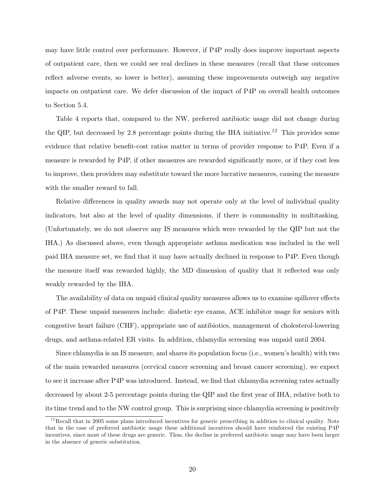may have little control over performance. However, if P4P really does improve important aspects of outpatient care, then we could see real declines in these measures (recall that these outcomes reflect adverse events, so lower is better), assuming these improvements outweigh any negative impacts on outpatient care. We defer discussion of the impact of P4P on overall health outcomes to Section 5.4.

Table 4 reports that, compared to the NW, preferred antibiotic usage did not change during the QIP, but decreased by 2.8 percentage points during the IHA initiative.<sup>12</sup> This provides some evidence that relative benefit-cost ratios matter in terms of provider response to P4P. Even if a measure is rewarded by P4P, if other measures are rewarded signicantly more, or if they cost less to improve, then providers may substitute toward the more lucrative measures, causing the measure with the smaller reward to fall.

Relative differences in quality awards may not operate only at the level of individual quality indicators, but also at the level of quality dimensions, if there is commonality in multitasking. (Unfortunately, we do not observe any IS measures which were rewarded by the QIP but not the IHA.) As discussed above, even though appropriate asthma medication was included in the well paid IHA measure set, we find that it may have actually declined in response to P4P. Even though the measure itself was rewarded highly, the MD dimension of quality that it reflected was only weakly rewarded by the IHA.

The availability of data on unpaid clinical quality measures allows us to examine spillover effects of P4P. These unpaid measures include: diabetic eye exams, ACE inhibitor usage for seniors with congestive heart failure (CHF), appropriate use of antibiotics, management of cholesterol-lowering drugs, and asthma-related ER visits. In addition, chlamydia screening was unpaid until 2004.

Since chlamydia is an IS measure, and shares its population focus (i.e., women's health) with two of the main rewarded measures (cervical cancer screening and breast cancer screening), we expect to see it increase after P4P was introduced. Instead, we find that chlamydia screening rates actually decreased by about 2-5 percentage points during the QIP and the first year of IHA, relative both to its time trend and to the NW control group. This is surprising since chlamydia screening is positively

 $12$  Recall that in 2005 some plans introduced incentives for generic prescribing in addition to clinical quality. Note that in the case of preferred antibiotic usage these additional incentives should have reinforced the existing P4P incentives, since most of these drugs are generic. Thus, the decline in preferred antibiotic usage may have been larger in the absence of generic substitution.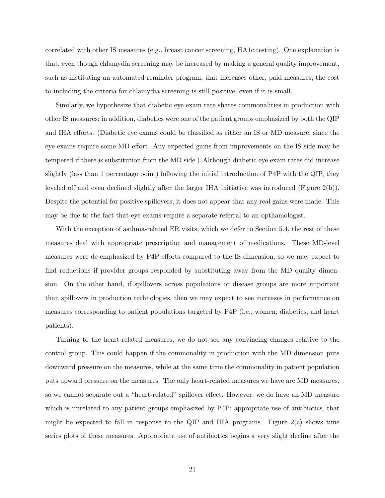correlated with other IS measures (e.g., breast cancer screening, HA1c testing). One explanation is that, even though chlamydia screening may be increased by making a general quality improvement, such as instituting an automated reminder program, that increases other, paid measures, the cost to including the criteria for chlamydia screening is still positive, even if it is small.

Similarly, we hypothesize that diabetic eye exam rate shares commonalities in production with other IS measures; in addition, diabetics were one of the patient groups emphasized by both the QIP and IHA efforts. (Diabetic eye exams could be classified as either an IS or MD measure, since the eye exams require some MD effort. Any expected gains from improvements on the IS side may be tempered if there is substitution from the MD side.) Although diabetic eye exam rates did increase slightly (less than 1 percentage point) following the initial introduction of P4P with the QIP, they leveled off and even declined slightly after the larger IHA initiative was introduced (Figure  $2(b)$ ). Despite the potential for positive spillovers, it does not appear that any real gains were made. This may be due to the fact that eye exams require a separate referral to an opthamologist.

With the exception of asthma-related ER visits, which we defer to Section 5.4, the rest of these measures deal with appropriate prescription and management of medications. These MD-level measures were de-emphasized by P4P efforts compared to the IS dimension, so we may expect to find reductions if provider groups responded by substituting away from the MD quality dimension. On the other hand, if spillovers across populations or disease groups are more important than spillovers in production technologies, then we may expect to see increases in performance on measures corresponding to patient populations targeted by P4P (i.e., women, diabetics, and heart patients).

Turning to the heart-related measures, we do not see any convincing changes relative to the control group. This could happen if the commonality in production with the MD dimension puts downward pressure on the measures, while at the same time the commonality in patient population puts upward pressure on the measures. The only heart-related measures we have are MD measures, so we cannot separate out a "heart-related" spillover effect. However, we do have an MD measure which is unrelated to any patient groups emphasized by P4P: appropriate use of antibiotics, that might be expected to fall in response to the QIP and IHA programs. Figure  $2(c)$  shows time series plots of these measures. Appropriate use of antibiotics begins a very slight decline after the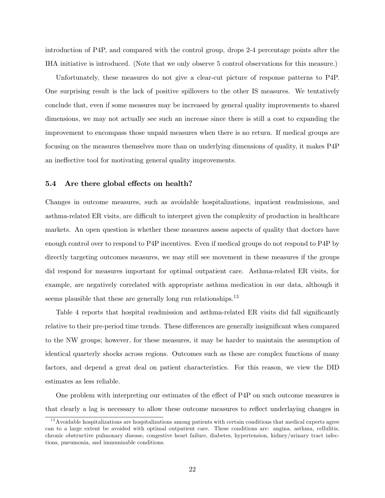introduction of P4P, and compared with the control group, drops 2-4 percentage points after the IHA initiative is introduced. (Note that we only observe 5 control observations for this measure.)

Unfortunately, these measures do not give a clear-cut picture of response patterns to P4P. One surprising result is the lack of positive spillovers to the other IS measures. We tentatively conclude that, even if some measures may be increased by general quality improvements to shared dimensions, we may not actually see such an increase since there is still a cost to expanding the improvement to encompass those unpaid measures when there is no return. If medical groups are focusing on the measures themselves more than on underlying dimensions of quality, it makes P4P an ineffective tool for motivating general quality improvements.

#### 5.4 Are there global effects on health?

Changes in outcome measures, such as avoidable hospitalizations, inpatient readmissions, and asthma-related ER visits, are difficult to interpret given the complexity of production in healthcare markets. An open question is whether these measures assess aspects of quality that doctors have enough control over to respond to P4P incentives. Even if medical groups do not respond to P4P by directly targeting outcomes measures, we may still see movement in these measures if the groups did respond for measures important for optimal outpatient care. Asthma-related ER visits, for example, are negatively correlated with appropriate asthma medication in our data, although it seems plausible that these are generally long run relationships.<sup>13</sup>

Table 4 reports that hospital readmission and asthma-related ER visits did fall significantly relative to their pre-period time trends. These differences are generally insignificant when compared to the NW groups; however, for these measures, it may be harder to maintain the assumption of identical quarterly shocks across regions. Outcomes such as these are complex functions of many factors, and depend a great deal on patient characteristics. For this reason, we view the DID estimates as less reliable.

One problem with interpreting our estimates of the effect of P4P on such outcome measures is that clearly a lag is necessary to allow these outcome measures to reflect underlaying changes in

<sup>&</sup>lt;sup>13</sup> Avoidable hospitalizations are hospitalizations among patients with certain conditions that medical experts agree can to a large extent be avoided with optimal outpatient care. These conditions are: angina, asthma, cellulitis, chronic obstructive pulmonary disease, congestive heart failure, diabetes, hypertension, kidney/urinary tract infections, pneumonia, and immunizable conditions.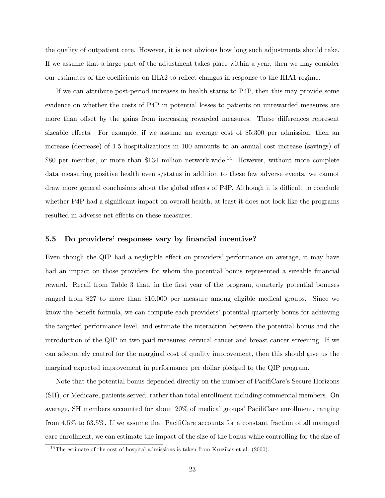the quality of outpatient care. However, it is not obvious how long such adjustments should take. If we assume that a large part of the adjustment takes place within a year, then we may consider our estimates of the coefficients on IHA2 to reflect changes in response to the IHA1 regime.

If we can attribute post-period increases in health status to P4P, then this may provide some evidence on whether the costs of P4P in potential losses to patients on unrewarded measures are more than offset by the gains from increasing rewarded measures. These differences represent sizeable effects. For example, if we assume an average cost of \$5,300 per admission, then an increase (decrease) of 1.5 hospitalizations in 100 amounts to an annual cost increase (savings) of \$80 per member, or more than \$134 million network-wide.<sup>14</sup> However, without more complete data measuring positive health events/status in addition to these few adverse events, we cannot draw more general conclusions about the global effects of P4P. Although it is difficult to conclude whether P4P had a significant impact on overall health, at least it does not look like the programs resulted in adverse net effects on these measures.

#### 5.5 Do providers' responses vary by financial incentive?

Even though the QIP had a negligible effect on providers' performance on average, it may have had an impact on those providers for whom the potential bonus represented a sizeable financial reward. Recall from Table 3 that, in the first year of the program, quarterly potential bonuses ranged from \$27 to more than \$10,000 per measure among eligible medical groups. Since we know the benefit formula, we can compute each providers' potential quarterly bonus for achieving the targeted performance level, and estimate the interaction between the potential bonus and the introduction of the QIP on two paid measures: cervical cancer and breast cancer screening. If we can adequately control for the marginal cost of quality improvement, then this should give us the marginal expected improvement in performance per dollar pledged to the QIP program.

Note that the potential bonus depended directly on the number of PacifiCare's Secure Horizons (SH), or Medicare, patients served, rather than total enrollment including commercial members. On average, SH members accounted for about  $20\%$  of medical groups' PacifiCare enrollment, ranging from  $4.5\%$  to 63.5%. If we assume that PacifiCare accounts for a constant fraction of all managed care enrollment, we can estimate the impact of the size of the bonus while controlling for the size of

 $14$ <sup>14</sup>The estimate of the cost of hospital admissions is taken from Kruzikas et al. (2000).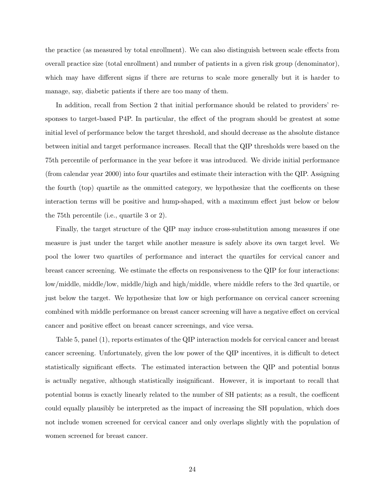the practice (as measured by total enrollment). We can also distinguish between scale effects from overall practice size (total enrollment) and number of patients in a given risk group (denominator), which may have different signs if there are returns to scale more generally but it is harder to manage, say, diabetic patients if there are too many of them.

In addition, recall from Section 2 that initial performance should be related to providers' responses to target-based P4P. In particular, the effect of the program should be greatest at some initial level of performance below the target threshold, and should decrease as the absolute distance between initial and target performance increases. Recall that the QIP thresholds were based on the 75th percentile of performance in the year before it was introduced. We divide initial performance (from calendar year 2000) into four quartiles and estimate their interaction with the QIP. Assigning the fourth  $({\rm top})$  quartile as the ommitted category, we hypothesize that the coefficents on these interaction terms will be positive and hump-shaped, with a maximum effect just below or below the 75th percentile (i.e., quartile 3 or 2).

Finally, the target structure of the QIP may induce cross-substitution among measures if one measure is just under the target while another measure is safely above its own target level. We pool the lower two quartiles of performance and interact the quartiles for cervical cancer and breast cancer screening. We estimate the effects on responsiveness to the QIP for four interactions: low/middle, middle/low, middle/high and high/middle, where middle refers to the 3rd quartile, or just below the target. We hypothesize that low or high performance on cervical cancer screening combined with middle performance on breast cancer screening will have a negative effect on cervical cancer and positive effect on breast cancer screenings, and vice versa.

Table 5, panel (1), reports estimates of the QIP interaction models for cervical cancer and breast cancer screening. Unfortunately, given the low power of the QIP incentives, it is difficult to detect statistically significant effects. The estimated interaction between the QIP and potential bonus is actually negative, although statistically insignicant. However, it is important to recall that potential bonus is exactly linearly related to the number of SH patients; as a result, the coefficent could equally plausibly be interpreted as the impact of increasing the SH population, which does not include women screened for cervical cancer and only overlaps slightly with the population of women screened for breast cancer.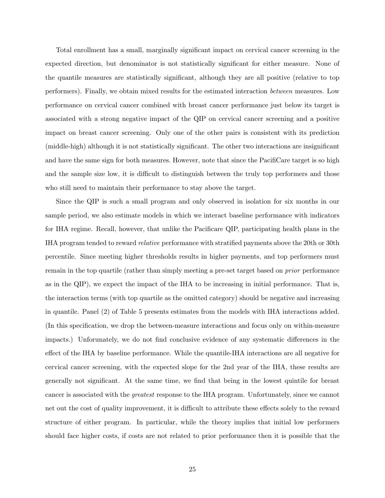Total enrollment has a small, marginally signicant impact on cervical cancer screening in the expected direction, but denominator is not statistically significant for either measure. None of the quantile measures are statistically signicant, although they are all positive (relative to top performers). Finally, we obtain mixed results for the estimated interaction between measures. Low performance on cervical cancer combined with breast cancer performance just below its target is associated with a strong negative impact of the QIP on cervical cancer screening and a positive impact on breast cancer screening. Only one of the other pairs is consistent with its prediction (middle-high) although it is not statistically signicant. The other two interactions are insignicant and have the same sign for both measures. However, note that since the PacifiCare target is so high and the sample size low, it is difficult to distinguish between the truly top performers and those who still need to maintain their performance to stay above the target.

Since the QIP is such a small program and only observed in isolation for six months in our sample period, we also estimate models in which we interact baseline performance with indicators for IHA regime. Recall, however, that unlike the Pacificare QIP, participating health plans in the IHA program tended to reward *relative* performance with stratified payments above the 20th or 30th percentile. Since meeting higher thresholds results in higher payments, and top performers must remain in the top quartile (rather than simply meeting a pre-set target based on prior performance as in the QIP), we expect the impact of the IHA to be increasing in initial performance. That is, the interaction terms (with top quartile as the omitted category) should be negative and increasing in quantile. Panel (2) of Table 5 presents estimates from the models with IHA interactions added. (In this specification, we drop the between-measure interactions and focus only on within-measure impacts.) Unforunately, we do not find conclusive evidence of any systematic differences in the effect of the IHA by baseline performance. While the quantile-IHA interactions are all negative for cervical cancer screening, with the expected slope for the 2nd year of the IHA, these results are generally not significant. At the same time, we find that being in the lowest quintile for breast cancer is associated with the greatest response to the IHA program. Unfortunately, since we cannot net out the cost of quality improvement, it is difficult to attribute these effects solely to the reward structure of either program. In particular, while the theory implies that initial low performers should face higher costs, if costs are not related to prior performance then it is possible that the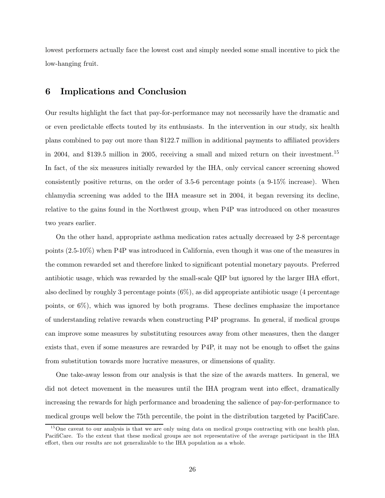lowest performers actually face the lowest cost and simply needed some small incentive to pick the low-hanging fruit.

### 6 Implications and Conclusion

Our results highlight the fact that pay-for-performance may not necessarily have the dramatic and or even predictable effects touted by its enthusiasts. In the intervention in our study, six health plans combined to pay out more than \$122.7 million in additional payments to aliated providers in 2004, and \$139.5 million in 2005, receiving a small and mixed return on their investment.<sup>15</sup> In fact, of the six measures initially rewarded by the IHA, only cervical cancer screening showed consistently positive returns, on the order of 3.5-6 percentage points (a 9-15% increase). When chlamydia screening was added to the IHA measure set in 2004, it began reversing its decline, relative to the gains found in the Northwest group, when P4P was introduced on other measures two years earlier.

On the other hand, appropriate asthma medication rates actually decreased by 2-8 percentage points (2.5-10%) when P4P was introduced in California, even though it was one of the measures in the common rewarded set and therefore linked to signicant potential monetary payouts. Preferred antibiotic usage, which was rewarded by the small-scale QIP but ignored by the larger IHA effort, also declined by roughly 3 percentage points (6%), as did appropriate antibiotic usage (4 percentage points, or 6%), which was ignored by both programs. These declines emphasize the importance of understanding relative rewards when constructing P4P programs. In general, if medical groups can improve some measures by substituting resources away from other measures, then the danger exists that, even if some measures are rewarded by P4P, it may not be enough to offset the gains from substitution towards more lucrative measures, or dimensions of quality.

One take-away lesson from our analysis is that the size of the awards matters. In general, we did not detect movement in the measures until the IHA program went into effect, dramatically increasing the rewards for high performance and broadening the salience of pay-for-performance to medical groups well below the 75th percentile, the point in the distribution targeted by PacifiCare.

 $15$ One caveat to our analysis is that we are only using data on medical groups contracting with one health plan, PacifiCare. To the extent that these medical groups are not representative of the average participant in the IHA effort, then our results are not generalizable to the IHA population as a whole.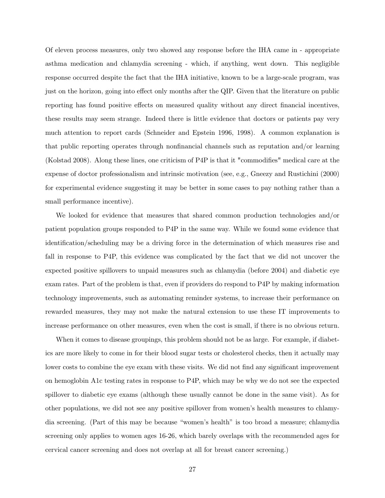Of eleven process measures, only two showed any response before the IHA came in - appropriate asthma medication and chlamydia screening - which, if anything, went down. This negligible response occurred despite the fact that the IHA initiative, known to be a large-scale program, was just on the horizon, going into effect only months after the QIP. Given that the literature on public reporting has found positive effects on measured quality without any direct financial incentives, these results may seem strange. Indeed there is little evidence that doctors or patients pay very much attention to report cards (Schneider and Epstein 1996, 1998). A common explanation is that public reporting operates through nonfinancial channels such as reputation and/or learning (Kolstad 2008). Along these lines, one criticism of P4P is that it "commodifies" medical care at the expense of doctor professionalism and intrinsic motivation (see, e.g., Gneezy and Rustichini (2000) for experimental evidence suggesting it may be better in some cases to pay nothing rather than a small performance incentive).

We looked for evidence that measures that shared common production technologies and/or patient population groups responded to P4P in the same way. While we found some evidence that identification/scheduling may be a driving force in the determination of which measures rise and fall in response to P4P, this evidence was complicated by the fact that we did not uncover the expected positive spillovers to unpaid measures such as chlamydia (before 2004) and diabetic eye exam rates. Part of the problem is that, even if providers do respond to P4P by making information technology improvements, such as automating reminder systems, to increase their performance on rewarded measures, they may not make the natural extension to use these IT improvements to increase performance on other measures, even when the cost is small, if there is no obvious return.

When it comes to disease groupings, this problem should not be as large. For example, if diabetics are more likely to come in for their blood sugar tests or cholesterol checks, then it actually may lower costs to combine the eye exam with these visits. We did not find any significant improvement on hemoglobin A1c testing rates in response to P4P, which may be why we do not see the expected spillover to diabetic eye exams (although these usually cannot be done in the same visit). As for other populations, we did not see any positive spillover from women's health measures to chlamydia screening. (Part of this may be because "women's health" is too broad a measure; chlamydia screening only applies to women ages 16-26, which barely overlaps with the recommended ages for cervical cancer screening and does not overlap at all for breast cancer screening.)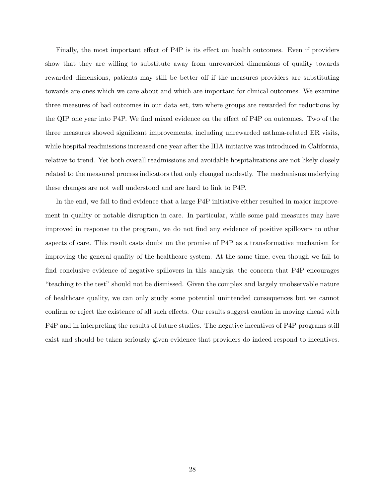Finally, the most important effect of P4P is its effect on health outcomes. Even if providers show that they are willing to substitute away from unrewarded dimensions of quality towards rewarded dimensions, patients may still be better off if the measures providers are substituting towards are ones which we care about and which are important for clinical outcomes. We examine three measures of bad outcomes in our data set, two where groups are rewarded for reductions by the QIP one year into P4P. We find mixed evidence on the effect of P4P on outcomes. Two of the three measures showed signicant improvements, including unrewarded asthma-related ER visits, while hospital readmissions increased one year after the IHA initiative was introduced in California, relative to trend. Yet both overall readmissions and avoidable hospitalizations are not likely closely related to the measured process indicators that only changed modestly. The mechanisms underlying these changes are not well understood and are hard to link to P4P.

In the end, we fail to find evidence that a large P4P initiative either resulted in major improvement in quality or notable disruption in care. In particular, while some paid measures may have improved in response to the program, we do not find any evidence of positive spillovers to other aspects of care. This result casts doubt on the promise of P4P as a transformative mechanism for improving the general quality of the healthcare system. At the same time, even though we fail to find conclusive evidence of negative spillovers in this analysis, the concern that  $P4P$  encourages "teaching to the test" should not be dismissed. Given the complex and largely unobservable nature of healthcare quality, we can only study some potential unintended consequences but we cannot confirm or reject the existence of all such effects. Our results suggest caution in moving ahead with P4P and in interpreting the results of future studies. The negative incentives of P4P programs still exist and should be taken seriously given evidence that providers do indeed respond to incentives.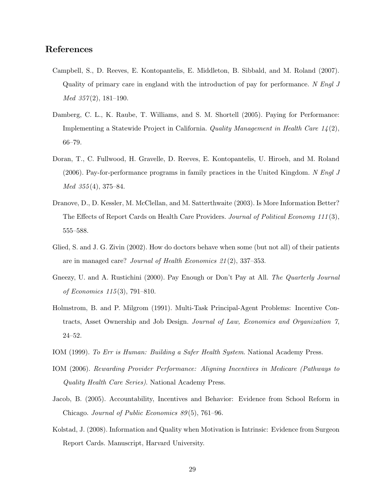## References

- Campbell, S., D. Reeves, E. Kontopantelis, E. Middleton, B. Sibbald, and M. Roland (2007). Quality of primary care in england with the introduction of pay for performance. N Engl J  $Med 357(2), 181-190.$
- Damberg, C. L., K. Raube, T. Williams, and S. M. Shortell (2005). Paying for Performance: Implementing a Statewide Project in California. Quality Management in Health Care  $14(2)$ , 66—79.
- Doran, T., C. Fullwood, H. Gravelle, D. Reeves, E. Kontopantelis, U. Hiroeh, and M. Roland (2006). Pay-for-performance programs in family practices in the United Kingdom. N Engl J  $Med 355(4), 375-84.$
- Dranove, D., D. Kessler, M. McClellan, and M. Satterthwaite (2003). Is More Information Better? The Effects of Report Cards on Health Care Providers. Journal of Political Economy 111(3), 555—588.
- Glied, S. and J. G. Zivin (2002). How do doctors behave when some (but not all) of their patients are in managed care? Journal of Health Economics 21 (2), 337—353.
- Gneezy, U. and A. Rustichini (2000). Pay Enough or Don't Pay at All. The Quarterly Journal of Economics 115 (3), 791—810.
- Holmstrom, B. and P. Milgrom (1991). Multi-Task Principal-Agent Problems: Incentive Contracts, Asset Ownership and Job Design. Journal of Law, Economics and Organization 7, 24—52.
- IOM (1999). To Err is Human: Building a Safer Health System. National Academy Press.
- IOM (2006). Rewarding Provider Performance: Aligning Incentives in Medicare (Pathways to Quality Health Care Series). National Academy Press.
- Jacob, B. (2005). Accountability, Incentives and Behavior: Evidence from School Reform in Chicago. Journal of Public Economics 89 (5), 761—96.
- Kolstad, J. (2008). Information and Quality when Motivation is Intrinsic: Evidence from Surgeon Report Cards. Manuscript, Harvard University.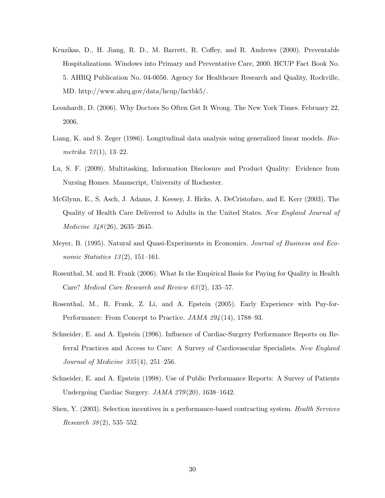- Kruzikas, D., H. Jiang, R. D., M. Barrett, R. Coffey, and R. Andrews (2000). Preventable Hospitalizations. Windows into Primary and Preventative Care, 2000. HCUP Fact Book No. 5. AHRQ Publication No. 04-0056. Agency for Healthcare Research and Quality, Rockville, MD. [http://www.ahrq.gov/data/hcup/factbk5/.](http://www.ahrq.gov/data/hcup/factbk5/)
- Leonhardt, D. (2006). Why Doctors So Often Get It Wrong. The New York Times. February 22, 2006.
- Liang, K. and S. Zeger (1986). Longitudinal data analysis using generalized linear models. Biometrika 73(1), 13—22.
- Lu, S. F. (2009). Multitasking, Information Disclosure and Product Quality: Evidence from Nursing Homes. Manuscript, University of Rochester.
- McGlynn, E., S. Asch, J. Adams, J. Keesey, J. Hicks, A. DeCristofaro, and E. Kerr (2003). The Quality of Health Care Delivered to Adults in the United States. New England Journal of Medicine 348(26), 2635–2645.
- Meyer, B. (1995). Natural and Quasi-Experiments in Economics. Journal of Business and Economic Statistics  $13(2)$ , 151–161.
- Rosenthal, M. and R. Frank (2006). What Is the Empirical Basis for Paying for Quality in Health Care? Medical Care Research and Review 63 (2), 135—57.
- Rosenthal, M., R. Frank, Z. Li, and A. Epstein (2005). Early Experience with Pay-for-Performance: From Concept to Practice. JAMA 294(14), 1788–93.
- Schneider, E. and A. Epstein (1996). Influence of Cardiac-Surgery Performance Reports on Referral Practices and Access to Care: A Survey of Cardiovascular Specialists. New England *Journal of Medicine 335* $(4)$ , 251–256.
- Schneider, E. and A. Epstein (1998). Use of Public Performance Reports: A Survey of Patients Undergoing Cardiac Surgery. JAMA 279(20), 1638–1642.
- Shen, Y. (2003). Selection incentives in a performance-based contracting system. Health Services Research  $38(2)$ , 535–552.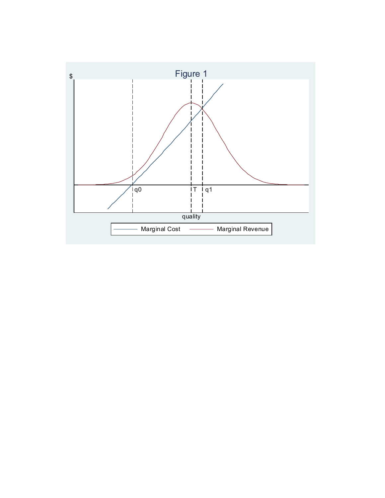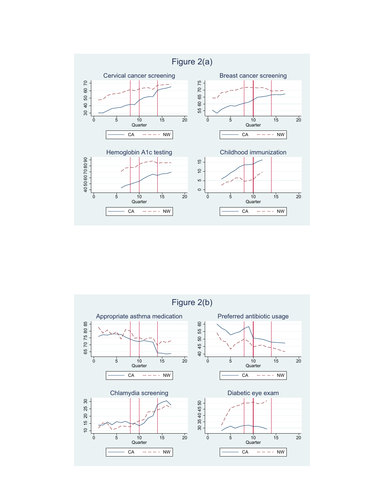

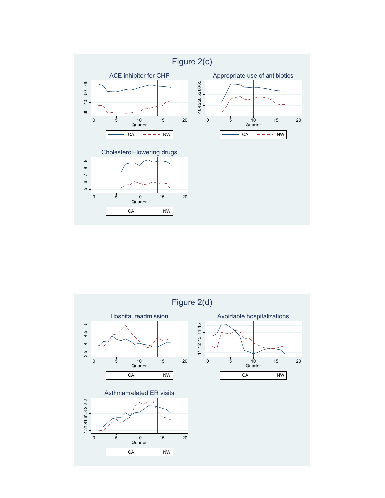

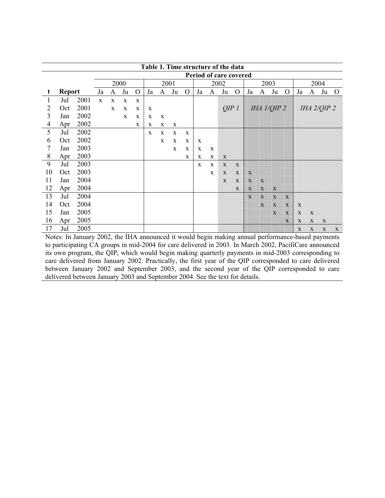|    |               |      |             | Table 1. Time structure of the data |             |              |              |             |      |          |    |   |                        |             |              |              |               |              |             |              |                 |              |
|----|---------------|------|-------------|-------------------------------------|-------------|--------------|--------------|-------------|------|----------|----|---|------------------------|-------------|--------------|--------------|---------------|--------------|-------------|--------------|-----------------|--------------|
|    |               |      |             |                                     |             |              |              |             |      |          |    |   | Period of care covered |             |              |              |               |              |             |              |                 |              |
|    |               |      |             |                                     | 2000        |              |              |             | 2001 |          |    |   | 2002                   |             |              |              | 2003          |              |             |              | 2004            |              |
| t  | <b>Report</b> |      | Ja          | A                                   | Ju          | $\mathbf{O}$ | Ja           | A           | Ju   | $\Omega$ | Ja | A | Ju                     | $\Omega$    | Ja           | A            | Ju            | $\Omega$     | Ja          | A            | Ju              | $\mathbf{O}$ |
| 1  | Jul           | 2001 | $\mathbf X$ | $\mathbf X$                         | X           | $\mathbf X$  |              |             |      |          |    |   |                        |             |              |              |               |              |             |              |                 |              |
| 2  | Oct           | 2001 |             | $\mathbf X$                         | $\mathbf X$ | $\mathbf{X}$ | X            |             |      |          |    |   | QIP1                   |             |              |              | IHA $1/QIP$ 2 |              |             |              | IHA $2/QIP$ $2$ |              |
| 3  | Jan           | 2002 |             |                                     | X           | $\mathbf{X}$ | X            | X           |      |          |    |   |                        |             |              |              |               |              |             |              |                 |              |
| 4  | Apr           | 2002 |             |                                     |             | X            | X            | X           | X    |          |    |   |                        |             |              |              |               |              |             |              |                 |              |
| 5  | Jul           | 2002 |             |                                     |             |              | $\mathbf{X}$ | X           | X    | X        |    |   |                        |             |              |              |               |              |             |              |                 |              |
| 6  | Oct           | 2002 |             |                                     |             |              |              | $\mathbf X$ | X    | X        | X  |   |                        |             |              |              |               |              |             |              |                 |              |
| 7  | Jan           | 2003 |             |                                     |             |              |              |             | X    | X        | X  | X |                        |             |              |              |               |              |             |              |                 |              |
| 8  | Apr           | 2003 |             |                                     |             |              |              |             |      | X        | X  | X | X                      |             |              |              |               |              |             |              |                 |              |
| 9  | Jul           | 2003 |             |                                     |             |              |              |             |      |          | X  | X | X                      | X           |              |              |               |              |             |              |                 |              |
| 10 | Oct           | 2003 |             |                                     |             |              |              |             |      |          |    | X | X                      | X           | $\mathbf{X}$ |              |               |              |             |              |                 |              |
| 11 | Jan           | 2004 |             |                                     |             |              |              |             |      |          |    |   | X                      | X           | X            | $\mathbf{X}$ |               |              |             |              |                 |              |
| 12 | Apr           | 2004 |             |                                     |             |              |              |             |      |          |    |   |                        | $\mathbf X$ | X            | $\mathbf X$  | $\mathbf X$   |              |             |              |                 |              |
| 13 | Jul           | 2004 |             |                                     |             |              |              |             |      |          |    |   |                        |             | $\mathbf{X}$ | X            | $\mathbf{X}$  | $\mathbf{X}$ |             |              |                 |              |
| 14 | Oct           | 2004 |             |                                     |             |              |              |             |      |          |    |   |                        |             |              | $\mathbf{x}$ | X             | $\mathbf{X}$ | X           |              |                 |              |
| 15 | Jan           | 2005 |             |                                     |             |              |              |             |      |          |    |   |                        |             |              |              | X             | X            | $\mathbf X$ | $\mathbf{X}$ |                 |              |
| 16 | Apr           | 2005 |             |                                     |             |              |              |             |      |          |    |   |                        |             |              |              |               | $\mathbf X$  | $\mathbf X$ | $\mathbf X$  | $\mathbf X$     |              |
| 17 | Jul           | 2005 |             |                                     |             |              |              |             |      |          |    |   |                        |             |              |              |               |              | $\mathbf X$ | X            | $\mathbf X$     | X            |

Notes: In January 2002, the IHA announced it would begin making annual performance-based payments to participating CA groups in mid-2004 for care delivered in 2003. In March 2002, PacifiCare announced its own program, the QIP, which would begin making quarterly payments in mid-2003 corresponding to care delivered from January 2002. Practically, the first year of the QIP corresponded to care delivered between January 2002 and September 2003, and the second year of the QIP corresponded to care delivered between January 2003 and September 2004. See the text for details.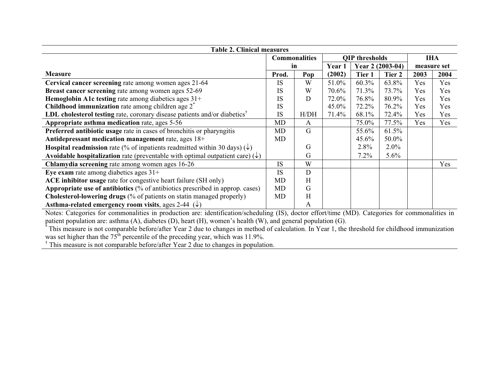| <b>Table 2. Clinical measures</b>                                                                               |                      |              |        |                       |                  |             |            |
|-----------------------------------------------------------------------------------------------------------------|----------------------|--------------|--------|-----------------------|------------------|-------------|------------|
|                                                                                                                 | <b>Commonalities</b> |              |        | <b>QIP</b> thresholds |                  | <b>IHA</b>  |            |
|                                                                                                                 | in                   |              | Year 1 |                       | Year 2 (2003-04) | measure set |            |
| <b>Measure</b>                                                                                                  | Prod.                | Pop          | (2002) | Tier 1                | Tier 2           | 2003        | 2004       |
| Cervical cancer screening rate among women ages 21-64                                                           | <b>IS</b>            | W            | 51.0%  | 60.3%                 | 63.8%            | Yes         | <b>Yes</b> |
| Breast cancer screening rate among women ages 52-69                                                             | <b>IS</b>            | W            | 70.6%  | 71.3%                 | 73.7%            | Yes         | <b>Yes</b> |
| Hemoglobin A1c testing rate among diabetics ages 31+                                                            | IS                   | D            | 72.0%  | 76.8%                 | 80.9%            | Yes         | Yes        |
| <b>Childhood immunization</b> rate among children age $2^*$                                                     | IS                   |              | 45.0%  | 72.2%                 | 76.2%            | Yes         | <b>Yes</b> |
| <b>LDL</b> cholesterol testing rate, coronary disease patients and/or diabetics <sup><math>\dagger</math></sup> | <b>IS</b>            | H/DH         | 71.4%  | 68.1%                 | 72.4%            | Yes         | Yes        |
| Appropriate asthma medication rate, ages 5-56                                                                   | <b>MD</b>            | $\mathsf{A}$ |        | 75.0%                 | 77.5%            | Yes         | Yes        |
| Preferred antibiotic usage rate in cases of bronchitis or pharyngitis                                           | MD                   | G            |        | 55.6%                 | 61.5%            |             |            |
| Antidepressant medication management rate, ages 18+                                                             | MD                   |              |        | 45.6%                 | 50.0%            |             |            |
| <b>Hospital readmission</b> rate (% of inpatients readmitted within 30 days) ( $\downarrow$ )                   |                      | G            |        | $2.8\%$               | $2.0\%$          |             |            |
| Avoidable hospitalization rate (preventable with optimal outpatient care) $(\downarrow)$                        |                      | G            |        | $7.2\%$               | $5.6\%$          |             |            |
| Chlamydia screening rate among women ages 16-26                                                                 | <b>IS</b>            | W            |        |                       |                  |             | Yes        |
| Eye exam rate among diabetics ages $31+$                                                                        | <b>IS</b>            | D            |        |                       |                  |             |            |
| ACE inhibitor usage rate for congestive heart failure (SH only)                                                 | MD                   | Н            |        |                       |                  |             |            |
| <b>Appropriate use of antibiotics</b> $(\%$ of antibiotics prescribed in approp. cases)                         | <b>MD</b>            | G            |        |                       |                  |             |            |
| Cholesterol-lowering drugs (% of patients on statin managed properly)                                           | MD.                  | H            |        |                       |                  |             |            |
| Asthma-related emergency room visits, ages 2-44 $(\downarrow)$                                                  |                      | A            |        |                       |                  |             |            |

Notes: Categories for commonalities in production are: identification/scheduling (IS), doctor effort/time (MD). Categories for commonalities in patient population are: asthma (A), diabetes (D), heart (H), women's health (W), and general population (G).

\* This measure is not comparable before/after Year 2 due to changes in method of calculation. In Year 1, the threshold for childhood immunization was set higher than the  $75<sup>th</sup>$  percentile of the preceding year, which was 11.9%.

† This measure is not comparable before/after Year 2 due to changes in population.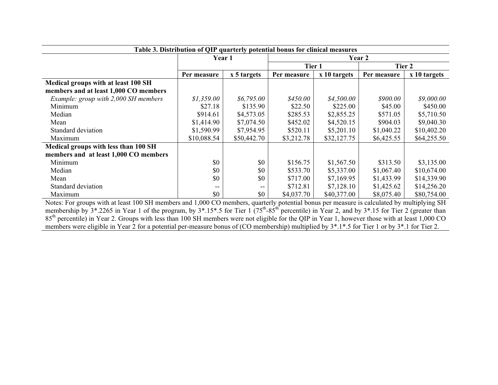|                                       | Table 3. Distribution of QIP quarterly potential bonus for clinical measures |             |             |              |             |              |
|---------------------------------------|------------------------------------------------------------------------------|-------------|-------------|--------------|-------------|--------------|
|                                       | Year 1                                                                       |             |             |              | Year 2      |              |
|                                       |                                                                              |             | Tier 1      |              | Tier 2      |              |
|                                       | Per measure                                                                  | x 5 targets | Per measure | x 10 targets | Per measure | x 10 targets |
| Medical groups with at least 100 SH   |                                                                              |             |             |              |             |              |
| members and at least 1,000 CO members |                                                                              |             |             |              |             |              |
| Example: group with 2,000 SH members  | \$1,359.00                                                                   | \$6,795.00  | \$450.00    | \$4,500.00   | \$900.00    | \$9,000.00   |
| Minimum                               | \$27.18                                                                      | \$135.90    | \$22.50     | \$225.00     | \$45.00     | \$450.00     |
| Median                                | \$914.61                                                                     | \$4,573.05  | \$285.53    | \$2,855.25   | \$571.05    | \$5,710.50   |
| Mean                                  | \$1,414.90                                                                   | \$7,074.50  | \$452.02    | \$4,520.15   | \$904.03    | \$9,040.30   |
| Standard deviation                    | \$1,590.99                                                                   | \$7,954.95  | \$520.11    | \$5,201.10   | \$1,040.22  | \$10,402.20  |
| Maximum                               | \$10,088.54                                                                  | \$50,442.70 | \$3,212.78  | \$32,127.75  | \$6,425.55  | \$64,255.50  |
| Medical groups with less than 100 SH  |                                                                              |             |             |              |             |              |
| members and at least 1,000 CO members |                                                                              |             |             |              |             |              |
| Minimum                               | \$0                                                                          | \$0         | \$156.75    | \$1,567.50   | \$313.50    | \$3,135.00   |
| Median                                | \$0                                                                          | \$0         | \$533.70    | \$5,337.00   | \$1,067.40  | \$10,674.00  |
| Mean                                  | \$0                                                                          | \$0         | \$717.00    | \$7,169.95   | \$1,433.99  | \$14,339.90  |
| Standard deviation                    | --                                                                           | $- -$       | \$712.81    | \$7,128.10   | \$1,425.62  | \$14,256.20  |
| Maximum                               | \$0                                                                          | \$0         | \$4,037.70  | \$40,377.00  | \$8,075.40  | \$80,754.00  |

Notes: For groups with at least 100 SH members and 1,000 CO members, quarterly potential bonus per measure is calculated by multiplying SH membership by  $3^*$ .2265 in Year 1 of the program, by  $3^*$ .15\*.5 for Tier 1 ( $75^{\text{th}}$ -85<sup>th</sup> percentile) in Year 2, and by  $3^*$ .15 for Tier 2 (greater than 85<sup>th</sup> percentile) in Year 2. Groups with less than 100 SH members were not eligible for the QIP in Year 1, however those with at least 1,000 CO members were eligible in Year 2 for a potential per-measure bonus of (CO membership) multiplied by  $3^*$ .1\*.5 for Tier 1 or by  $3^*$ .1 for Tier 2.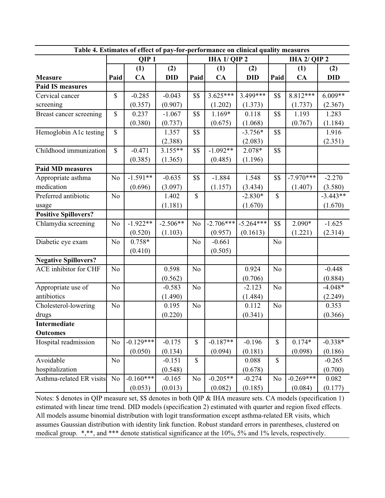| Table 4. Estimates of effect of pay-for-performance on clinical quality measures<br><b>IHA 1/ QIP 2</b><br>IHA 2/ QIP 2 |                |                  |            |                |             |             |                |             |            |  |  |  |  |
|-------------------------------------------------------------------------------------------------------------------------|----------------|------------------|------------|----------------|-------------|-------------|----------------|-------------|------------|--|--|--|--|
|                                                                                                                         |                | QIP <sub>1</sub> |            |                |             |             |                |             |            |  |  |  |  |
|                                                                                                                         |                | (1)              | (2)        |                | (1)         | (2)         |                | (1)         | (2)        |  |  |  |  |
| <b>Measure</b>                                                                                                          | Paid           | CA               | <b>DID</b> | Paid           | CA          | <b>DID</b>  | Paid           | CA          | <b>DID</b> |  |  |  |  |
| <b>Paid IS measures</b>                                                                                                 |                |                  |            |                |             |             |                |             |            |  |  |  |  |
| Cervical cancer                                                                                                         | \$             | $-0.285$         | $-0.043$   | \$\$           | $3.625***$  | 3.499***    | \$\$           | 8.812***    | $6.009**$  |  |  |  |  |
| screening                                                                                                               |                | (0.357)          | (0.907)    |                | (1.202)     | (1.373)     |                | (1.737)     | (2.367)    |  |  |  |  |
| Breast cancer screening                                                                                                 | \$             | 0.237            | $-1.067$   | \$\$           | 1.169*      | 0.118       | \$\$           | 1.193       | 1.283      |  |  |  |  |
|                                                                                                                         |                | (0.380)          | (0.737)    |                | (0.675)     | (1.068)     |                | (0.767)     | (1.184)    |  |  |  |  |
| Hemoglobin A1c testing                                                                                                  | \$             |                  | 1.357      | \$\$           |             | $-3.756*$   | \$\$           |             | 1.916      |  |  |  |  |
|                                                                                                                         |                |                  | (2.388)    |                |             | (2.083)     |                |             | (2.351)    |  |  |  |  |
| Childhood immunization                                                                                                  | $\mathbb{S}$   | $-0.471$         | $3.155***$ | \$\$           | $-1.092**$  | 2.078*      | \$\$           |             |            |  |  |  |  |
|                                                                                                                         |                | (0.385)          | (1.365)    |                | (0.485)     | (1.196)     |                |             |            |  |  |  |  |
| <b>Paid MD measures</b>                                                                                                 |                |                  |            |                |             |             |                |             |            |  |  |  |  |
| Appropriate asthma                                                                                                      | No             | $-1.591**$       | $-0.635$   | \$\$           | $-1.884$    | 1.548       | \$\$           | $-7.970***$ | $-2.270$   |  |  |  |  |
| medication                                                                                                              |                | (0.696)          | (3.097)    |                | (1.157)     | (3.434)     |                | (1.407)     | (3.580)    |  |  |  |  |
| Preferred antibiotic                                                                                                    | N <sub>o</sub> |                  | 1.402      | $\mathbb{S}$   |             | $-2.830*$   | $\mathbb{S}$   |             | $-3.443**$ |  |  |  |  |
| usage                                                                                                                   |                |                  | (1.181)    |                |             | (1.670)     |                |             | (1.670)    |  |  |  |  |
| <b>Positive Spillovers?</b>                                                                                             |                |                  |            |                |             |             |                |             |            |  |  |  |  |
| Chlamydia screening                                                                                                     | No             | $-1.922**$       | $-2.506**$ | N <sub>o</sub> | $-2.706***$ | $-5.264***$ | \$\$           | 2.090*      | $-1.625$   |  |  |  |  |
|                                                                                                                         |                | (0.520)          | (1.103)    |                | (0.957)     | (0.1613)    |                | (1.221)     | (2.314)    |  |  |  |  |
| Diabetic eye exam                                                                                                       | N <sub>o</sub> | $0.758*$         |            | N <sub>o</sub> | $-0.661$    |             | N <sub>o</sub> |             |            |  |  |  |  |
|                                                                                                                         |                | (0.410)          |            |                | (0.505)     |             |                |             |            |  |  |  |  |
| <b>Negative Spillovers?</b>                                                                                             |                |                  |            |                |             |             |                |             |            |  |  |  |  |
| ACE inhibitor for CHF                                                                                                   | N <sub>o</sub> |                  | 0.598      | N <sub>o</sub> |             | 0.924       | N <sub>o</sub> |             | $-0.448$   |  |  |  |  |
|                                                                                                                         |                |                  | (0.562)    |                |             | (0.706)     |                |             | (0.884)    |  |  |  |  |
| Appropriate use of                                                                                                      | N <sub>o</sub> |                  | $-0.583$   | N <sub>o</sub> |             | $-2.123$    | N <sub>o</sub> |             | $-4.048*$  |  |  |  |  |
| antibiotics                                                                                                             |                |                  | (1.490)    |                |             | (1.484)     |                |             | (2.249)    |  |  |  |  |
| Cholesterol-lowering                                                                                                    | No             |                  | 0.195      | N <sub>o</sub> |             | 0.112       | N <sub>o</sub> |             | 0.353      |  |  |  |  |
| drugs                                                                                                                   |                |                  | (0.220)    |                |             | (0.341)     |                |             | (0.366)    |  |  |  |  |
| Intermediate                                                                                                            |                |                  |            |                |             |             |                |             |            |  |  |  |  |
| <b>Outcomes</b>                                                                                                         |                |                  |            |                |             |             |                |             |            |  |  |  |  |
| Hospital readmission                                                                                                    | N <sub>o</sub> | $-0.129***$      | $-0.175$   | $\mathbb S$    | $-0.187**$  | $-0.196$    | \$             | $0.174*$    | $-0.338*$  |  |  |  |  |
|                                                                                                                         |                | (0.050)          | (0.134)    |                | (0.094)     | (0.181)     |                | (0.098)     | (0.186)    |  |  |  |  |
| Avoidable                                                                                                               | N <sub>o</sub> |                  | $-0.151$   | $\mathbb{S}$   |             | 0.088       | \$             |             | $-0.265$   |  |  |  |  |
| hospitalization                                                                                                         |                |                  | (0.548)    |                |             | (0.678)     |                |             | (0.700)    |  |  |  |  |
| Asthma-related ER visits                                                                                                | N <sub>o</sub> | $-0.160***$      | $-0.165$   | N <sub>o</sub> | $-0.205**$  | $-0.274$    | N <sub>o</sub> | $-0.269***$ | 0.082      |  |  |  |  |
|                                                                                                                         |                | (0.053)          | (0.013)    |                | (0.082)     | (0.185)     |                | (0.084)     | (0.177)    |  |  |  |  |

Notes: \$ denotes in QIP measure set, \$\$ denotes in both QIP & IHA measure sets. CA models (specification 1) estimated with linear time trend. DID models (specification 2) estimated with quarter and region fixed effects. All models assume binomial distribution with logit transformation except asthma-related ER visits, which assumes Gaussian distribution with identity link function. Robust standard errors in parentheses, clustered on medical group. \*,\*\*, and \*\*\* denote statistical significance at the 10%, 5% and 1% levels, respectively.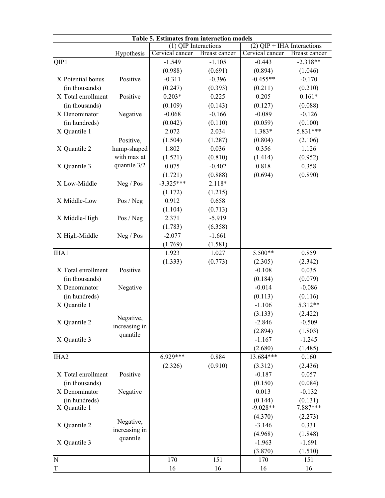| Table 5. Estimates from interaction models<br>$(2)$ QIP + IHA Interactions<br>$(1)$ QIP Interactions |               |                 |                      |                       |                     |  |  |  |  |  |  |  |  |
|------------------------------------------------------------------------------------------------------|---------------|-----------------|----------------------|-----------------------|---------------------|--|--|--|--|--|--|--|--|
|                                                                                                      |               |                 |                      |                       |                     |  |  |  |  |  |  |  |  |
|                                                                                                      | Hypothesis    | Cervical cancer | <b>Breast cancer</b> | Cervical cancer       | Breast cancer       |  |  |  |  |  |  |  |  |
| QIP1                                                                                                 |               | $-1.549$        | $-1.105$             | $-0.443$              | $-2.318**$          |  |  |  |  |  |  |  |  |
|                                                                                                      |               | (0.988)         | (0.691)              | (0.894)               | (1.046)             |  |  |  |  |  |  |  |  |
| X Potential bonus                                                                                    | Positive      | $-0.311$        | $-0.396$             | $-0.455**$            | $-0.170$            |  |  |  |  |  |  |  |  |
| (in thousands)                                                                                       |               | (0.247)         | (0.393)              | (0.211)               | (0.210)             |  |  |  |  |  |  |  |  |
| X Total enrollment                                                                                   | Positive      | $0.203*$        | 0.225                | 0.205                 | $0.161*$            |  |  |  |  |  |  |  |  |
| (in thousands)                                                                                       |               | (0.109)         | (0.143)              | (0.127)               | (0.088)             |  |  |  |  |  |  |  |  |
| X Denominator                                                                                        | Negative      | $-0.068$        | $-0.166$             | $-0.089$              | $-0.126$            |  |  |  |  |  |  |  |  |
| (in hundreds)                                                                                        |               | (0.042)         | (0.110)              | (0.059)               | (0.100)             |  |  |  |  |  |  |  |  |
| X Quantile 1                                                                                         |               | 2.072           | 2.034                | 1.383*                | 5.831***            |  |  |  |  |  |  |  |  |
|                                                                                                      | Positive,     | (1.504)         | (1.287)              | (0.804)               | (2.106)             |  |  |  |  |  |  |  |  |
| X Quantile 2                                                                                         | hump-shaped   | 1.802           | 0.036                | 0.356                 | 1.126               |  |  |  |  |  |  |  |  |
|                                                                                                      | with max at   | (1.521)         | (0.810)              | (1.414)               | (0.952)             |  |  |  |  |  |  |  |  |
| X Quantile 3                                                                                         | quantile 3/2  | 0.075           | $-0.402$             | 0.818                 | 0.358               |  |  |  |  |  |  |  |  |
|                                                                                                      |               | (1.721)         | (0.888)              | (0.694)               | (0.890)             |  |  |  |  |  |  |  |  |
| X Low-Middle                                                                                         | Neg / Pos     | $-3.325***$     | 2.118*               |                       |                     |  |  |  |  |  |  |  |  |
|                                                                                                      |               | (1.172)         | (1.215)              |                       |                     |  |  |  |  |  |  |  |  |
| X Middle-Low                                                                                         | Pos / Neg     | 0.912           | 0.658                |                       |                     |  |  |  |  |  |  |  |  |
|                                                                                                      |               | (1.104)         | (0.713)              |                       |                     |  |  |  |  |  |  |  |  |
| X Middle-High                                                                                        | Pos / Neg     | 2.371           | $-5.919$             |                       |                     |  |  |  |  |  |  |  |  |
|                                                                                                      |               | (1.783)         | (6.358)              |                       |                     |  |  |  |  |  |  |  |  |
| X High-Middle                                                                                        | Neg / Pos     | $-2.077$        | $-1.661$             |                       |                     |  |  |  |  |  |  |  |  |
|                                                                                                      |               | (1.769)         | (1.581)              |                       |                     |  |  |  |  |  |  |  |  |
| IHA1                                                                                                 |               | 1.923           | 1.027                | 5.500**               | 0.859               |  |  |  |  |  |  |  |  |
|                                                                                                      |               | (1.333)         | (0.773)              | (2.305)               | (2.342)             |  |  |  |  |  |  |  |  |
| X Total enrollment                                                                                   | Positive      |                 |                      | $-0.108$              | 0.035               |  |  |  |  |  |  |  |  |
| (in thousands)                                                                                       |               |                 |                      | (0.184)               | (0.079)             |  |  |  |  |  |  |  |  |
| X Denominator                                                                                        | Negative      |                 |                      | $-0.014$              | $-0.086$            |  |  |  |  |  |  |  |  |
| (in hundreds)                                                                                        |               |                 |                      | (0.113)               | (0.116)             |  |  |  |  |  |  |  |  |
| X Quantile 1                                                                                         |               |                 |                      | $-1.106$              | 5.312**             |  |  |  |  |  |  |  |  |
|                                                                                                      |               |                 |                      | (3.133)               | (2.422)             |  |  |  |  |  |  |  |  |
| X Quantile 2                                                                                         | Negative,     |                 |                      | $-2.846$              | $-0.509$            |  |  |  |  |  |  |  |  |
|                                                                                                      | increasing in |                 |                      | (2.894)               | (1.803)             |  |  |  |  |  |  |  |  |
| X Quantile 3                                                                                         | quantile      |                 |                      | $-1.167$              | $-1.245$            |  |  |  |  |  |  |  |  |
|                                                                                                      |               |                 |                      | (2.680)               | (1.485)             |  |  |  |  |  |  |  |  |
| IHA <sub>2</sub>                                                                                     |               | $6.929***$      | 0.884                | 13.684***             | 0.160               |  |  |  |  |  |  |  |  |
|                                                                                                      |               | (2.326)         | (0.910)              | (3.312)               | (2.436)             |  |  |  |  |  |  |  |  |
| X Total enrollment                                                                                   | Positive      |                 |                      | $-0.187$              | 0.057               |  |  |  |  |  |  |  |  |
| (in thousands)                                                                                       |               |                 |                      | (0.150)               | (0.084)             |  |  |  |  |  |  |  |  |
| X Denominator                                                                                        |               |                 |                      | 0.013                 | $-0.132$            |  |  |  |  |  |  |  |  |
|                                                                                                      | Negative      |                 |                      |                       |                     |  |  |  |  |  |  |  |  |
| (in hundreds)<br>X Quantile 1                                                                        |               |                 |                      | (0.144)<br>$-9.028**$ | (0.131)<br>7.887*** |  |  |  |  |  |  |  |  |
|                                                                                                      |               |                 |                      | (4.370)               | (2.273)             |  |  |  |  |  |  |  |  |
| X Quantile 2                                                                                         | Negative,     |                 |                      | $-3.146$              | 0.331               |  |  |  |  |  |  |  |  |
|                                                                                                      | increasing in |                 |                      | (4.968)               | (1.848)             |  |  |  |  |  |  |  |  |
|                                                                                                      | quantile      |                 |                      | $-1.963$              | $-1.691$            |  |  |  |  |  |  |  |  |
| X Quantile 3                                                                                         |               |                 |                      |                       |                     |  |  |  |  |  |  |  |  |
| ${\bf N}$                                                                                            |               | 170             | 151                  | (3.870)<br>170        | (1.510)<br>151      |  |  |  |  |  |  |  |  |
| $\mathbf T$                                                                                          |               | 16              | 16                   | 16                    | 16                  |  |  |  |  |  |  |  |  |
|                                                                                                      |               |                 |                      |                       |                     |  |  |  |  |  |  |  |  |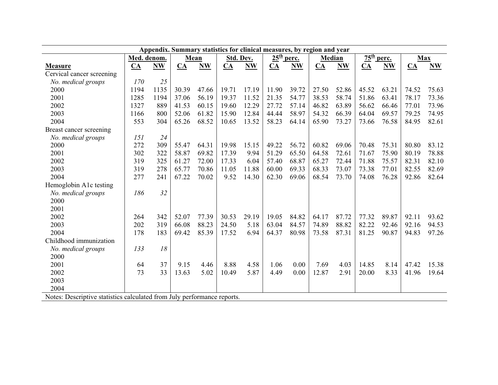|                                                                         |                  |       |       | Appendix. Summary statistics for clinical measures, by region and year |       |           |              |       |               |           |               |       |                           |       |
|-------------------------------------------------------------------------|------------------|-------|-------|------------------------------------------------------------------------|-------|-----------|--------------|-------|---------------|-----------|---------------|-------|---------------------------|-------|
|                                                                         | Med. denom.      |       |       | Mean                                                                   |       | Std. Dev. | $25th$ perc. |       | <b>Median</b> |           | $75^{\rm th}$ | perc. | <b>Max</b>                |       |
| <b>Measure</b>                                                          | $\underline{CA}$ | $N$ W | $CA$  | <b>NW</b>                                                              | $CA$  | <b>NW</b> | CA           | $N$ W | $CA$          | <b>NW</b> | CA            | N W   | $\underline{\mathbf{CA}}$ | N     |
| Cervical cancer screening                                               |                  |       |       |                                                                        |       |           |              |       |               |           |               |       |                           |       |
| No. medical groups                                                      | 170              | 25    |       |                                                                        |       |           |              |       |               |           |               |       |                           |       |
| 2000                                                                    | 1194             | 1135  | 30.39 | 47.66                                                                  | 19.71 | 17.19     | 11.90        | 39.72 | 27.50         | 52.86     | 45.52         | 63.21 | 74.52                     | 75.63 |
| 2001                                                                    | 1285             | 1194  | 37.06 | 56.19                                                                  | 19.37 | 11.52     | 21.35        | 54.77 | 38.53         | 58.74     | 51.86         | 63.41 | 78.17                     | 73.36 |
| 2002                                                                    | 1327             | 889   | 41.53 | 60.15                                                                  | 19.60 | 12.29     | 27.72        | 57.14 | 46.82         | 63.89     | 56.62         | 66.46 | 77.01                     | 73.96 |
| 2003                                                                    | 1166             | 800   | 52.06 | 61.82                                                                  | 15.90 | 12.84     | 44.44        | 58.97 | 54.32         | 66.39     | 64.04         | 69.57 | 79.25                     | 74.95 |
| 2004                                                                    | 553              | 304   | 65.26 | 68.52                                                                  | 10.65 | 13.52     | 58.23        | 64.14 | 65.90         | 73.27     | 73.66         | 76.58 | 84.95                     | 82.61 |
| Breast cancer screening                                                 |                  |       |       |                                                                        |       |           |              |       |               |           |               |       |                           |       |
| No. medical groups                                                      | 151              | 24    |       |                                                                        |       |           |              |       |               |           |               |       |                           |       |
| 2000                                                                    | 272              | 309   | 55.47 | 64.31                                                                  | 19.98 | 15.15     | 49.22        | 56.72 | 60.82         | 69.06     | 70.48         | 75.31 | 80.80                     | 83.12 |
| 2001                                                                    | 302              | 322   | 58.87 | 69.82                                                                  | 17.39 | 9.94      | 51.29        | 65.50 | 64.58         | 72.61     | 71.67         | 75.90 | 80.19                     | 78.88 |
| 2002                                                                    | 319              | 325   | 61.27 | 72.00                                                                  | 17.33 | 6.04      | 57.40        | 68.87 | 65.27         | 72.44     | 71.88         | 75.57 | 82.31                     | 82.10 |
| 2003                                                                    | 319              | 278   | 65.77 | 70.86                                                                  | 11.05 | 11.88     | 60.00        | 69.33 | 68.33         | 73.07     | 73.38         | 77.01 | 82.55                     | 82.69 |
| 2004                                                                    | 277              | 241   | 67.22 | 70.02                                                                  | 9.52  | 14.30     | 62.30        | 69.06 | 68.54         | 73.70     | 74.08         | 76.28 | 92.86                     | 82.64 |
| Hemoglobin A1c testing                                                  |                  |       |       |                                                                        |       |           |              |       |               |           |               |       |                           |       |
| No. medical groups                                                      | 186              | 32    |       |                                                                        |       |           |              |       |               |           |               |       |                           |       |
| 2000                                                                    |                  |       |       |                                                                        |       |           |              |       |               |           |               |       |                           |       |
| 2001                                                                    |                  |       |       |                                                                        |       |           |              |       |               |           |               |       |                           |       |
| 2002                                                                    | 264              | 342   | 52.07 | 77.39                                                                  | 30.53 | 29.19     | 19.05        | 84.82 | 64.17         | 87.72     | 77.32         | 89.87 | 92.11                     | 93.62 |
| 2003                                                                    | 202              | 319   | 66.08 | 88.23                                                                  | 24.50 | 5.18      | 63.04        | 84.57 | 74.89         | 88.82     | 82.22         | 92.46 | 92.16                     | 94.53 |
| 2004                                                                    | 178              | 183   | 69.42 | 85.39                                                                  | 17.52 | 6.94      | 64.37        | 80.98 | 73.58         | 87.31     | 81.25         | 90.87 | 94.83                     | 97.26 |
| Childhood immunization                                                  |                  |       |       |                                                                        |       |           |              |       |               |           |               |       |                           |       |
| No. medical groups                                                      | 133              | 18    |       |                                                                        |       |           |              |       |               |           |               |       |                           |       |
| 2000                                                                    |                  |       |       |                                                                        |       |           |              |       |               |           |               |       |                           |       |
| 2001                                                                    | 64               | 37    | 9.15  | 4.46                                                                   | 8.88  | 4.58      | 1.06         | 0.00  | 7.69          | 4.03      | 14.85         | 8.14  | 47.42                     | 15.38 |
| 2002                                                                    | 73               | 33    | 13.63 | 5.02                                                                   | 10.49 | 5.87      | 4.49         | 0.00  | 12.87         | 2.91      | 20.00         | 8.33  | 41.96                     | 19.64 |
| 2003                                                                    |                  |       |       |                                                                        |       |           |              |       |               |           |               |       |                           |       |
| 2004                                                                    |                  |       |       |                                                                        |       |           |              |       |               |           |               |       |                           |       |
| Notes: Descriptive statistics calculated from July performance reports. |                  |       |       |                                                                        |       |           |              |       |               |           |               |       |                           |       |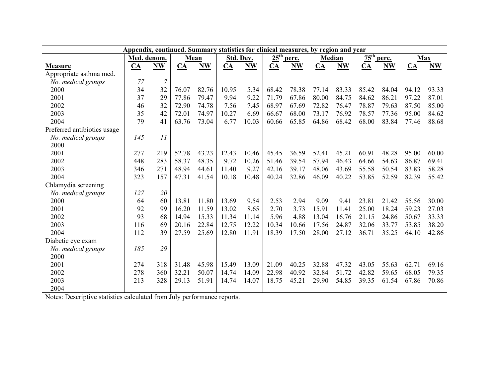|                                                                         | Appendix, continued. Summary statistics for clinical measures, by region and year |                  |                  |           |                  |           |                  |           |                  |           |              |           |                  |       |
|-------------------------------------------------------------------------|-----------------------------------------------------------------------------------|------------------|------------------|-----------|------------------|-----------|------------------|-----------|------------------|-----------|--------------|-----------|------------------|-------|
|                                                                         | Med. denom.                                                                       |                  | Mean             |           | Std. Dev.        |           | $25th$ perc.     |           | Median           |           | $75th$ perc. |           | <b>Max</b>       |       |
| <b>Measure</b>                                                          | $CA$                                                                              | <b>NW</b>        | $\underline{CA}$ | <b>NW</b> | $\underline{CA}$ | <b>NW</b> | $\underline{CA}$ | <b>NW</b> | $\underline{CA}$ | <b>NW</b> | CA           | <b>NW</b> | $\underline{CA}$ | $N$ W |
| Appropriate asthma med.                                                 |                                                                                   |                  |                  |           |                  |           |                  |           |                  |           |              |           |                  |       |
| No. medical groups                                                      | 77                                                                                | $\boldsymbol{7}$ |                  |           |                  |           |                  |           |                  |           |              |           |                  |       |
| 2000                                                                    | 34                                                                                | 32               | 76.07            | 82.76     | 10.95            | 5.34      | 68.42            | 78.38     | 77.14            | 83.33     | 85.42        | 84.04     | 94.12            | 93.33 |
| 2001                                                                    | 37                                                                                | 29               | 77.86            | 79.47     | 9.94             | 9.22      | 71.79            | 67.86     | 80.00            | 84.75     | 84.62        | 86.21     | 97.22            | 87.01 |
| 2002                                                                    | 46                                                                                | 32               | 72.90            | 74.78     | 7.56             | 7.45      | 68.97            | 67.69     | 72.82            | 76.47     | 78.87        | 79.63     | 87.50            | 85.00 |
| 2003                                                                    | 35                                                                                | 42               | 72.01            | 74.97     | 10.27            | 6.69      | 66.67            | 68.00     | 73.17            | 76.92     | 78.57        | 77.36     | 95.00            | 84.62 |
| 2004                                                                    | 79                                                                                | 41               | 63.76            | 73.04     | 6.77             | 10.03     | 60.66            | 65.85     | 64.86            | 68.42     | 68.00        | 83.84     | 77.46            | 88.68 |
| Preferred antibiotics usage                                             |                                                                                   |                  |                  |           |                  |           |                  |           |                  |           |              |           |                  |       |
| No. medical groups                                                      | 145                                                                               | 11               |                  |           |                  |           |                  |           |                  |           |              |           |                  |       |
| 2000                                                                    |                                                                                   |                  |                  |           |                  |           |                  |           |                  |           |              |           |                  |       |
| 2001                                                                    | 277                                                                               | 219              | 52.78            | 43.23     | 12.43            | 10.46     | 45.45            | 36.59     | 52.41            | 45.21     | 60.91        | 48.28     | 95.00            | 60.00 |
| 2002                                                                    | 448                                                                               | 283              | 58.37            | 48.35     | 9.72             | 10.26     | 51.46            | 39.54     | 57.94            | 46.43     | 64.66        | 54.63     | 86.87            | 69.41 |
| 2003                                                                    | 346                                                                               | 271              | 48.94            | 44.61     | 11.40            | 9.27      | 42.16            | 39.17     | 48.06            | 43.69     | 55.58        | 50.54     | 83.83            | 58.28 |
| 2004                                                                    | 323                                                                               | 157              | 47.31            | 41.54     | 10.18            | 10.48     | 40.24            | 32.86     | 46.09            | 40.22     | 53.85        | 52.59     | 82.39            | 55.42 |
| Chlamydia screening                                                     |                                                                                   |                  |                  |           |                  |           |                  |           |                  |           |              |           |                  |       |
| No. medical groups                                                      | 127                                                                               | 20               |                  |           |                  |           |                  |           |                  |           |              |           |                  |       |
| 2000                                                                    | 64                                                                                | 60               | 13.81            | 11.80     | 13.69            | 9.54      | 2.53             | 2.94      | 9.09             | 9.41      | 23.81        | 21.42     | 55.56            | 30.00 |
| 2001                                                                    | 92                                                                                | 99               | 16.20            | 11.59     | 13.02            | 8.65      | 2.70             | 3.73      | 15.91            | 11.41     | 25.00        | 18.24     | 59.23            | 27.03 |
| 2002                                                                    | 93                                                                                | 68               | 14.94            | 15.33     | 11.34            | 11.14     | 5.96             | 4.88      | 13.04            | 16.76     | 21.15        | 24.86     | 50.67            | 33.33 |
| 2003                                                                    | 116                                                                               | 69               | 20.16            | 22.84     | 12.75            | 12.22     | 10.34            | 10.66     | 17.56            | 24.87     | 32.06        | 33.77     | 53.85            | 38.20 |
| 2004                                                                    | 112                                                                               | 39               | 27.59            | 25.69     | 12.80            | 11.91     | 18.39            | 17.50     | 28.00            | 27.12     | 36.71        | 35.25     | 64.10            | 42.86 |
| Diabetic eye exam                                                       |                                                                                   |                  |                  |           |                  |           |                  |           |                  |           |              |           |                  |       |
| No. medical groups                                                      | 185                                                                               | 29               |                  |           |                  |           |                  |           |                  |           |              |           |                  |       |
| 2000                                                                    |                                                                                   |                  |                  |           |                  |           |                  |           |                  |           |              |           |                  |       |
| 2001                                                                    | 274                                                                               | 318              | 31.48            | 45.98     | 15.49            | 13.09     | 21.09            | 40.25     | 32.88            | 47.32     | 43.05        | 55.63     | 62.71            | 69.16 |
| 2002                                                                    | 278                                                                               | 360              | 32.21            | 50.07     | 14.74            | 14.09     | 22.98            | 40.92     | 32.84            | 51.72     | 42.82        | 59.65     | 68.05            | 79.35 |
| 2003                                                                    | 213                                                                               | 328              | 29.13            | 51.91     | 14.74            | 14.07     | 18.75            | 45.21     | 29.90            | 54.85     | 39.35        | 61.54     | 67.86            | 70.86 |
| 2004                                                                    |                                                                                   |                  |                  |           |                  |           |                  |           |                  |           |              |           |                  |       |
| Notes: Descriptive statistics calculated from July performance reports. |                                                                                   |                  |                  |           |                  |           |                  |           |                  |           |              |           |                  |       |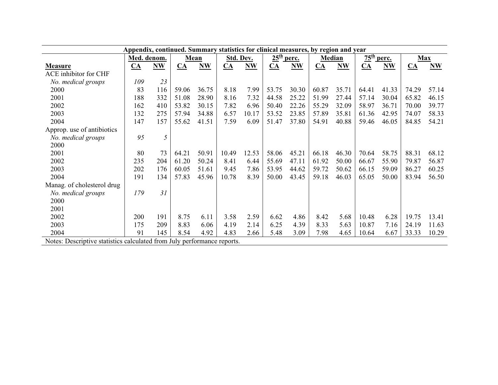|                                                                         | Appendix, continued. Summary statistics for clinical measures, by region and year |       |                  |       |           |           |                  |           |                  |       |                            |           |                  |       |
|-------------------------------------------------------------------------|-----------------------------------------------------------------------------------|-------|------------------|-------|-----------|-----------|------------------|-----------|------------------|-------|----------------------------|-----------|------------------|-------|
|                                                                         | Med. denom.                                                                       |       | Mean             |       | Std. Dev. |           | $25th$ perc.     |           | <b>Median</b>    |       | $\frac{75^{\text{th}}}{4}$ | perc.     | <b>Max</b>       |       |
| <b>Measure</b>                                                          | $\underline{CA}$                                                                  | $N$ W | $\underline{CA}$ | $N$ W | $CA$      | <b>NW</b> | $\underline{CA}$ | <b>NW</b> | $\underline{CA}$ | $N$ W | CA                         | <b>NW</b> | $\underline{CA}$ | $N$ W |
| <b>ACE</b> inhibitor for CHF                                            |                                                                                   |       |                  |       |           |           |                  |           |                  |       |                            |           |                  |       |
| No. medical groups                                                      | 109                                                                               | 23    |                  |       |           |           |                  |           |                  |       |                            |           |                  |       |
| 2000                                                                    | 83                                                                                | 116   | 59.06            | 36.75 | 8.18      | 7.99      | 53.75            | 30.30     | 60.87            | 35.71 | 64.41                      | 41.33     | 74.29            | 57.14 |
| 2001                                                                    | 188                                                                               | 332   | 51.08            | 28.90 | 8.16      | 7.32      | 44.58            | 25.22     | 51.99            | 27.44 | 57.14                      | 30.04     | 65.82            | 46.15 |
| 2002                                                                    | 162                                                                               | 410   | 53.82            | 30.15 | 7.82      | 6.96      | 50.40            | 22.26     | 55.29            | 32.09 | 58.97                      | 36.71     | 70.00            | 39.77 |
| 2003                                                                    | 132                                                                               | 275   | 57.94            | 34.88 | 6.57      | 10.17     | 53.52            | 23.85     | 57.89            | 35.81 | 61.36                      | 42.95     | 74.07            | 58.33 |
| 2004                                                                    | 147                                                                               | 157   | 55.62            | 41.51 | 7.59      | 6.09      | 51.47            | 37.80     | 54.91            | 40.88 | 59.46                      | 46.05     | 84.85            | 54.21 |
| Approp. use of antibiotics                                              |                                                                                   |       |                  |       |           |           |                  |           |                  |       |                            |           |                  |       |
| No. medical groups                                                      | 95                                                                                | 5     |                  |       |           |           |                  |           |                  |       |                            |           |                  |       |
| 2000                                                                    |                                                                                   |       |                  |       |           |           |                  |           |                  |       |                            |           |                  |       |
| 2001                                                                    | 80                                                                                | 73    | 64.21            | 50.91 | 10.49     | 12.53     | 58.06            | 45.21     | 66.18            | 46.30 | 70.64                      | 58.75     | 88.31            | 68.12 |
| 2002                                                                    | 235                                                                               | 204   | 61.20            | 50.24 | 8.41      | 6.44      | 55.69            | 47.11     | 61.92            | 50.00 | 66.67                      | 55.90     | 79.87            | 56.87 |
| 2003                                                                    | 202                                                                               | 176   | 60.05            | 51.61 | 9.45      | 7.86      | 53.95            | 44.62     | 59.72            | 50.62 | 66.15                      | 59.09     | 86.27            | 60.25 |
| 2004                                                                    | 191                                                                               | 134   | 57.83            | 45.96 | 10.78     | 8.39      | 50.00            | 43.45     | 59.18            | 46.03 | 65.05                      | 50.00     | 83.94            | 56.50 |
| Manag. of cholesterol drug                                              |                                                                                   |       |                  |       |           |           |                  |           |                  |       |                            |           |                  |       |
| No. medical groups                                                      | 179                                                                               | 31    |                  |       |           |           |                  |           |                  |       |                            |           |                  |       |
| 2000                                                                    |                                                                                   |       |                  |       |           |           |                  |           |                  |       |                            |           |                  |       |
| 2001                                                                    |                                                                                   |       |                  |       |           |           |                  |           |                  |       |                            |           |                  |       |
| 2002                                                                    | 200                                                                               | 191   | 8.75             | 6.11  | 3.58      | 2.59      | 6.62             | 4.86      | 8.42             | 5.68  | 10.48                      | 6.28      | 19.75            | 13.41 |
| 2003                                                                    | 175                                                                               | 209   | 8.83             | 6.06  | 4.19      | 2.14      | 6.25             | 4.39      | 8.33             | 5.63  | 10.87                      | 7.16      | 24.19            | 11.63 |
| 2004                                                                    | 91                                                                                | 145   | 8.54             | 4.92  | 4.83      | 2.66      | 5.48             | 3.09      | 7.98             | 4.65  | 10.64                      | 6.67      | 33.33            | 10.29 |
| Notes: Descriptive statistics calculated from July performance reports. |                                                                                   |       |                  |       |           |           |                  |           |                  |       |                            |           |                  |       |